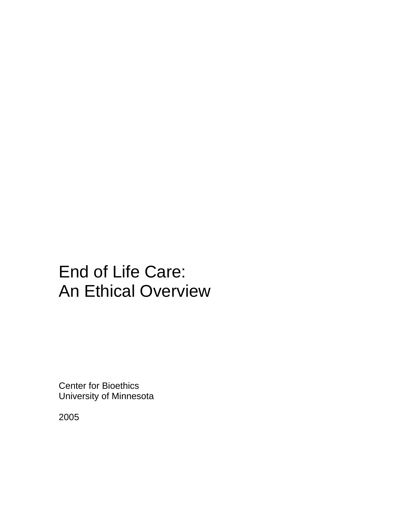# End of Life Care: An Ethical Overview

Center for Bioethics University of Minnesota

2005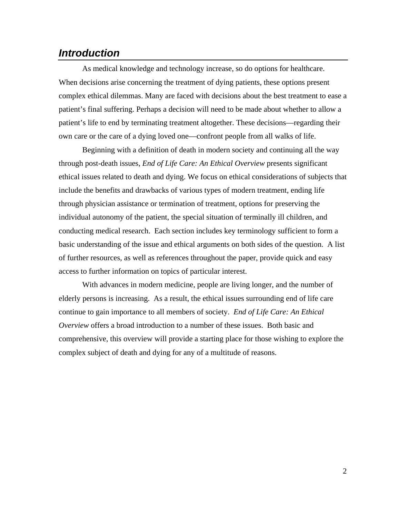## *Introduction*

As medical knowledge and technology increase, so do options for healthcare. When decisions arise concerning the treatment of dying patients, these options present complex ethical dilemmas. Many are faced with decisions about the best treatment to ease a patient's final suffering. Perhaps a decision will need to be made about whether to allow a patient's life to end by terminating treatment altogether. These decisions—regarding their own care or the care of a dying loved one—confront people from all walks of life.

 Beginning with a definition of death in modern society and continuing all the way through post-death issues, *End of Life Care: An Ethical Overview* presents significant ethical issues related to death and dying. We focus on ethical considerations of subjects that include the benefits and drawbacks of various types of modern treatment, ending life through physician assistance or termination of treatment, options for preserving the individual autonomy of the patient, the special situation of terminally ill children, and conducting medical research. Each section includes key terminology sufficient to form a basic understanding of the issue and ethical arguments on both sides of the question. A list of further resources, as well as references throughout the paper, provide quick and easy access to further information on topics of particular interest.

 With advances in modern medicine, people are living longer, and the number of elderly persons is increasing. As a result, the ethical issues surrounding end of life care continue to gain importance to all members of society. *End of Life Care: An Ethical Overview* offers a broad introduction to a number of these issues. Both basic and comprehensive, this overview will provide a starting place for those wishing to explore the complex subject of death and dying for any of a multitude of reasons.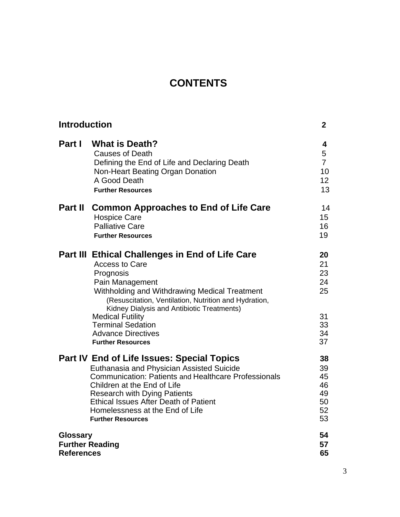# **CONTENTS**

| <b>Introduction</b>                                            |                                                                                                                                                                                                                                                                                                                                                                           | $\mathbf{2}$                                            |
|----------------------------------------------------------------|---------------------------------------------------------------------------------------------------------------------------------------------------------------------------------------------------------------------------------------------------------------------------------------------------------------------------------------------------------------------------|---------------------------------------------------------|
| Part I                                                         | <b>What is Death?</b><br><b>Causes of Death</b><br>Defining the End of Life and Declaring Death<br>Non-Heart Beating Organ Donation<br>A Good Death<br><b>Further Resources</b>                                                                                                                                                                                           | 4<br>5<br>$\overline{7}$<br>10<br>12 <sup>2</sup><br>13 |
| <b>Part II</b>                                                 | <b>Common Approaches to End of Life Care</b><br><b>Hospice Care</b><br><b>Palliative Care</b><br><b>Further Resources</b>                                                                                                                                                                                                                                                 | 14<br>15<br>16<br>19                                    |
|                                                                | Part III Ethical Challenges in End of Life Care<br>Access to Care<br>Prognosis<br>Pain Management<br>Withholding and Withdrawing Medical Treatment<br>(Resuscitation, Ventilation, Nutrition and Hydration,<br>Kidney Dialysis and Antibiotic Treatments)<br><b>Medical Futility</b><br><b>Terminal Sedation</b><br><b>Advance Directives</b><br><b>Further Resources</b> | 20<br>21<br>23<br>24<br>25<br>31<br>33<br>34<br>37      |
|                                                                | Part IV End of Life Issues: Special Topics<br>Euthanasia and Physician Assisted Suicide<br><b>Communication: Patients and Healthcare Professionals</b><br>Children at the End of Life<br><b>Research with Dying Patients</b><br><b>Ethical Issues After Death of Patient</b><br>Homelessness at the End of Life<br><b>Further Resources</b>                               | 38<br>39<br>45<br>46<br>49<br>50<br>52<br>53            |
| <b>Glossary</b><br><b>Further Reading</b><br><b>References</b> |                                                                                                                                                                                                                                                                                                                                                                           | 54<br>57<br>65                                          |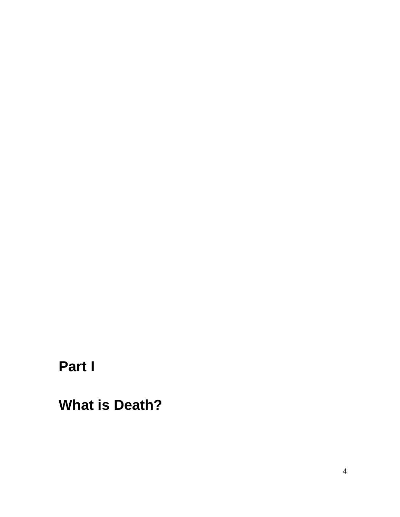**Part I** 

**What is Death?**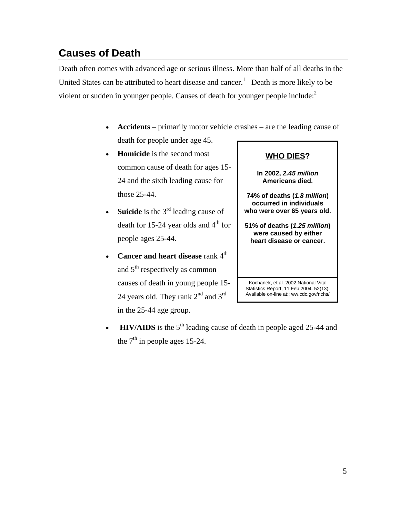# **Causes of Death**

Death often comes with advanced age or serious illness. More than half of all deaths in the United States can be attributed to heart disease and cancer.<sup>1</sup> Death is more likely to be violent or sudden in younger people. Causes of death for younger people include:<sup>2</sup>

- **Accidents**  primarily motor vehicle crashes are the leading cause of death for people under age 45.
- **Homicide** is the second most common cause of death for ages 15- 24 and the sixth leading cause for those 25-44.
- **Suicide** is the 3<sup>rd</sup> leading cause of death for 15-24 year olds and  $4<sup>th</sup>$  for people ages 25-44.
- **Cancer and heart disease** rank 4<sup>th</sup> and  $5<sup>th</sup>$  respectively as common causes of death in young people 15- 24 years old. They rank  $2<sup>nd</sup>$  and  $3<sup>rd</sup>$ in the 25-44 age group.
- **HIV/AIDS** is the  $5<sup>th</sup>$  leading cause of death in people aged 25-44 and the  $7<sup>th</sup>$  in people ages 15-24.

#### **WHO DIES?**

**In 2002,** *2.45 million*  **Americans died.** 

**74% of deaths (***1.8 million***) occurred in individuals who were over 65 years old.** 

**51% of deaths (***1.25 million***) were caused by either heart disease or cancer.**

Kochanek, et al. 2002 National Vital Statistics Report, 11 Feb 2004. 52(13). Available on-line at:: ww.cdc.gov/nchs/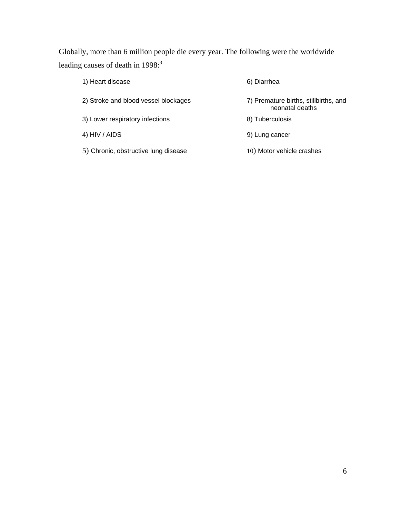Globally, more than 6 million people die every year. The following were the worldwide leading causes of death in 1998:<sup>3</sup>

| 1) Heart disease                     | 6) Diarrhea                                              |
|--------------------------------------|----------------------------------------------------------|
| 2) Stroke and blood vessel blockages | 7) Premature births, stillbirths, and<br>neonatal deaths |
| 3) Lower respiratory infections      | 8) Tuberculosis                                          |
| 4) HIV / AIDS                        | 9) Lung cancer                                           |
| 5) Chronic, obstructive lung disease | 10) Motor vehicle crashes                                |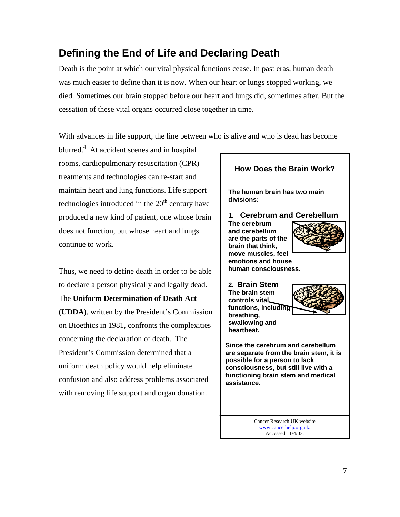# **Defining the End of Life and Declaring Death**

Death is the point at which our vital physical functions cease. In past eras, human death was much easier to define than it is now. When our heart or lungs stopped working, we died. Sometimes our brain stopped before our heart and lungs did, sometimes after. But the cessation of these vital organs occurred close together in time.

With advances in life support, the line between who is alive and who is dead has become

blurred.<sup>4</sup> At accident scenes and in hospital rooms, cardiopulmonary resuscitation (CPR) treatments and technologies can re-start and maintain heart and lung functions. Life support technologies introduced in the  $20<sup>th</sup>$  century have produced a new kind of patient, one whose brain does not function, but whose heart and lungs continue to work.

Thus, we need to define death in order to be able to declare a person physically and legally dead. The **Uniform Determination of Death Act (UDDA)**, written by the President's Commission on Bioethics in 1981, confronts the complexities concerning the declaration of death. The President's Commission determined that a uniform death policy would help eliminate confusion and also address problems associated with removing life support and organ donation.

## Cancer Research UK website www.cancerhelp.org.uk. Accessed 11/4/03. **How Does the Brain Work? The human brain has two main divisions: 1. Cerebrum and Cerebellum The cerebrum and cerebellum are the parts of the brain that think, move muscles, feel emotions and house human consciousness. 2. Brain Stem The brain stem controls vital functions, including breathing, swallowing and heartbeat. Since the cerebrum and cerebellum are separate from the brain stem, it is possible for a person to lack consciousness, but still live with a functioning brain stem and medical assistance.**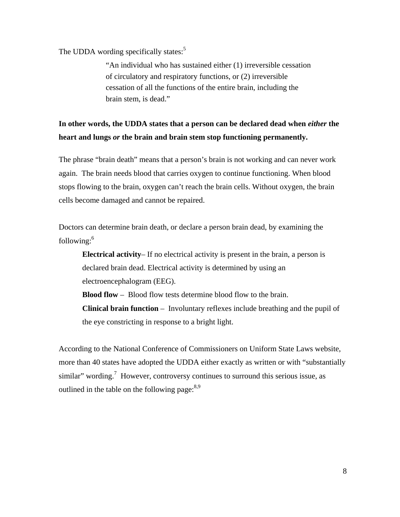The UDDA wording specifically states:<sup>5</sup>

"An individual who has sustained either (1) irreversible cessation of circulatory and respiratory functions, or (2) irreversible cessation of all the functions of the entire brain, including the brain stem, is dead."

## **In other words, the UDDA states that a person can be declared dead when** *either* **the heart and lungs** *or* **the brain and brain stem stop functioning permanently.**

The phrase "brain death" means that a person's brain is not working and can never work again. The brain needs blood that carries oxygen to continue functioning. When blood stops flowing to the brain, oxygen can't reach the brain cells. Without oxygen, the brain cells become damaged and cannot be repaired.

Doctors can determine brain death, or declare a person brain dead, by examining the following: $6$ 

**Electrical activity**– If no electrical activity is present in the brain, a person is declared brain dead. Electrical activity is determined by using an electroencephalogram (EEG).

**Blood flow** – Blood flow tests determine blood flow to the brain.

**Clinical brain function** – Involuntary reflexes include breathing and the pupil of the eye constricting in response to a bright light.

According to the National Conference of Commissioners on Uniform State Laws website, more than 40 states have adopted the UDDA either exactly as written or with "substantially similar" wording.<sup>7</sup> However, controversy continues to surround this serious issue, as outlined in the table on the following page:  $8.9$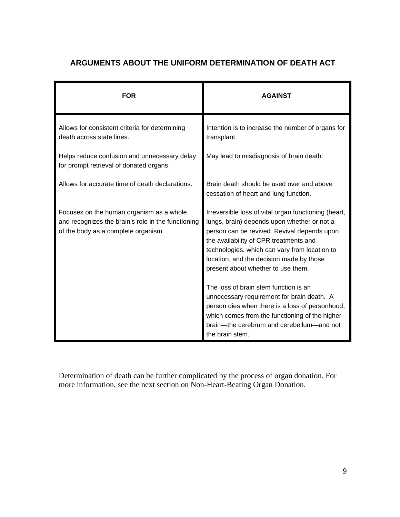## **ARGUMENTS ABOUT THE UNIFORM DETERMINATION OF DEATH ACT**

| <b>FOR</b>                                                                                                                             | <b>AGAINST</b>                                                                                                                                                                                                                                                                                                                                                           |
|----------------------------------------------------------------------------------------------------------------------------------------|--------------------------------------------------------------------------------------------------------------------------------------------------------------------------------------------------------------------------------------------------------------------------------------------------------------------------------------------------------------------------|
| Allows for consistent criteria for determining<br>death across state lines.                                                            | Intention is to increase the number of organs for<br>transplant.                                                                                                                                                                                                                                                                                                         |
| Helps reduce confusion and unnecessary delay<br>for prompt retrieval of donated organs.                                                | May lead to misdiagnosis of brain death.                                                                                                                                                                                                                                                                                                                                 |
| Allows for accurate time of death declarations.                                                                                        | Brain death should be used over and above<br>cessation of heart and lung function.                                                                                                                                                                                                                                                                                       |
| Focuses on the human organism as a whole,<br>and recognizes the brain's role in the functioning<br>of the body as a complete organism. | Irreversible loss of vital organ functioning (heart,<br>lungs, brain) depends upon whether or not a<br>person can be revived. Revival depends upon<br>the availability of CPR treatments and<br>technologies, which can vary from location to<br>location, and the decision made by those<br>present about whether to use them.<br>The loss of brain stem function is an |
|                                                                                                                                        | unnecessary requirement for brain death. A<br>person dies when there is a loss of personhood,<br>which comes from the functioning of the higher<br>brain-the cerebrum and cerebellum-and not<br>the brain stem.                                                                                                                                                          |

Determination of death can be further complicated by the process of organ donation. For more information, see the next section on Non-Heart-Beating Organ Donation.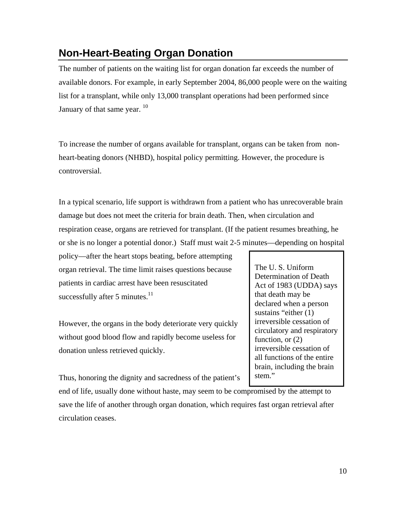## **Non-Heart-Beating Organ Donation**

The number of patients on the waiting list for organ donation far exceeds the number of available donors. For example, in early September 2004, 86,000 people were on the waiting list for a transplant, while only 13,000 transplant operations had been performed since January of that same year.  $10$ 

To increase the number of organs available for transplant, organs can be taken from nonheart-beating donors (NHBD), hospital policy permitting. However, the procedure is controversial.

In a typical scenario, life support is withdrawn from a patient who has unrecoverable brain damage but does not meet the criteria for brain death. Then, when circulation and respiration cease, organs are retrieved for transplant. (If the patient resumes breathing, he or she is no longer a potential donor.) Staff must wait 2-5 minutes—depending on hospital

policy—after the heart stops beating, before attempting organ retrieval. The time limit raises questions because patients in cardiac arrest have been resuscitated successfully after 5 minutes. $11$ 

However, the organs in the body deteriorate very quickly without good blood flow and rapidly become useless for donation unless retrieved quickly.

Thus, honoring the dignity and sacredness of the patient's

end of life, usually done without haste, may seem to be compromised by the attempt to save the life of another through organ donation, which requires fast organ retrieval after circulation ceases.

The U. S. Uniform Determination of Death Act of 1983 (UDDA) says that death may be declared when a person sustains "either (1) irreversible cessation of circulatory and respiratory function, or  $(2)$ irreversible cessation of all functions of the entire brain, including the brain stem."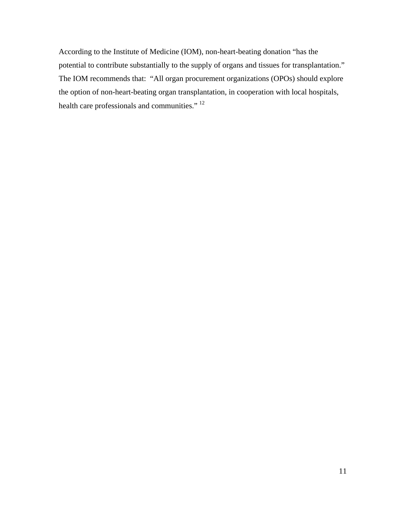According to the Institute of Medicine (IOM), non-heart-beating donation "has the potential to contribute substantially to the supply of organs and tissues for transplantation." The IOM recommends that: "All organ procurement organizations (OPOs) should explore the option of non-heart-beating organ transplantation, in cooperation with local hospitals, health care professionals and communities."<sup>12</sup>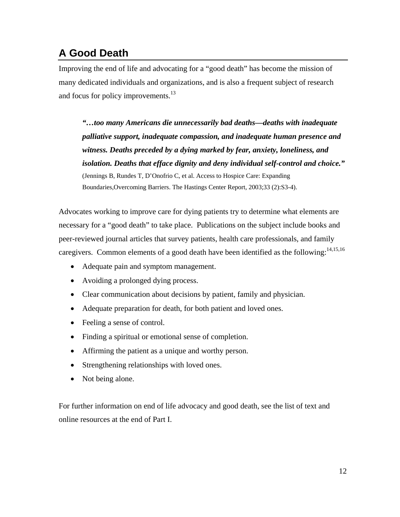# **A Good Death**

Improving the end of life and advocating for a "good death" has become the mission of many dedicated individuals and organizations, and is also a frequent subject of research and focus for policy improvements.<sup>13</sup>

*"…too many Americans die unnecessarily bad deaths—deaths with inadequate palliative support, inadequate compassion, and inadequate human presence and witness. Deaths preceded by a dying marked by fear, anxiety, loneliness, and isolation. Deaths that efface dignity and deny individual self-control and choice."*  (Jennings B, Rundes T, D'Onofrio C, et al. Access to Hospice Care: Expanding Boundaries,Overcoming Barriers. The Hastings Center Report, 2003;33 (2):S3-4).

Advocates working to improve care for dying patients try to determine what elements are necessary for a "good death" to take place. Publications on the subject include books and peer-reviewed journal articles that survey patients, health care professionals, and family caregivers. Common elements of a good death have been identified as the following:<sup>14,15,16</sup>

- Adequate pain and symptom management.
- Avoiding a prolonged dying process.
- Clear communication about decisions by patient, family and physician.
- Adequate preparation for death, for both patient and loved ones.
- Feeling a sense of control.
- Finding a spiritual or emotional sense of completion.
- Affirming the patient as a unique and worthy person.
- Strengthening relationships with loved ones.
- Not being alone.

For further information on end of life advocacy and good death, see the list of text and online resources at the end of Part I.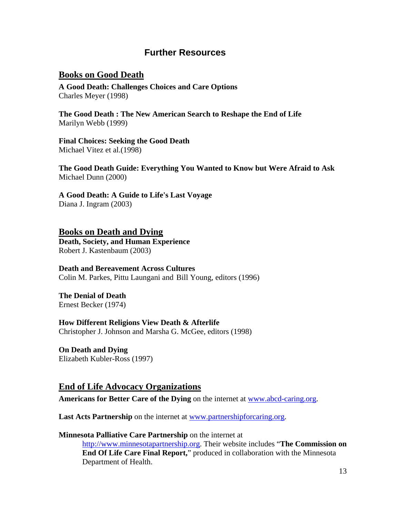#### **Further Resources**

#### **Books on Good Death**

**A Good Death: Challenges Choices and Care Options**  Charles Meyer (1998)

**The Good Death : The New American Search to Reshape the End of Life**  Marilyn Webb (1999)

**Final Choices: Seeking the Good Death**  Michael Vitez et al.(1998)

**The Good Death Guide: Everything You Wanted to Know but Were Afraid to Ask** Michael Dunn (2000)

**A Good Death: A Guide to Life's Last Voyage** Diana J. Ingram (2003)

#### **Books on Death and Dying Death, Society, and Human Experience**

Robert J. Kastenbaum (2003)

#### **Death and Bereavement Across Cultures**

Colin M. Parkes, Pittu Laungani and Bill Young, editors (1996)

**The Denial of Death**  Ernest Becker (1974)

#### **How Different Religions View Death & Afterlife**

Christopher J. Johnson and Marsha G. McGee, editors (1998)

**On Death and Dying**  Elizabeth Kubler-Ross (1997)

#### **End of Life Advocacy Organizations**

**Americans for Better Care of the Dying** on the internet at www.abcd-caring.org.

Last Acts Partnership on the internet at www.partnershipforcaring.org.

#### **Minnesota Palliative Care Partnership** on the internet at

http://www.minnesotapartnership.org. Their website includes "**The Commission on End Of Life Care Final Report,**" produced in collaboration with the Minnesota Department of Health.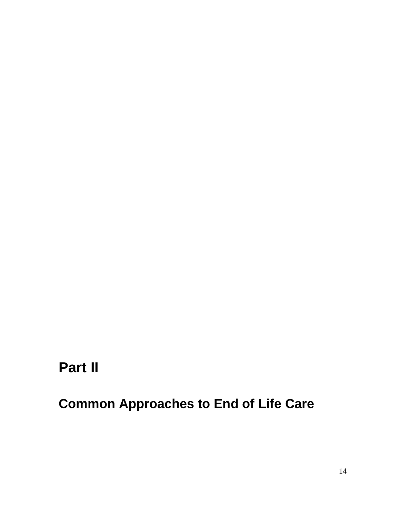# **Part II**

**Common Approaches to End of Life Care**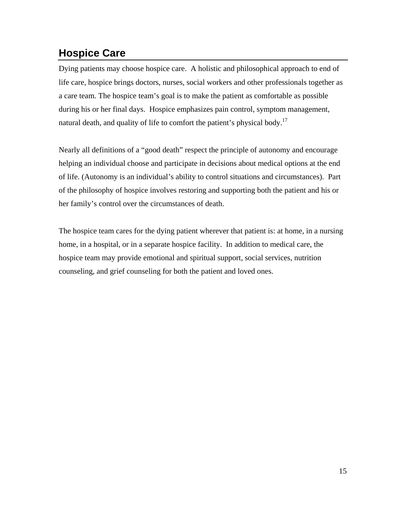## **Hospice Care**

Dying patients may choose hospice care. A holistic and philosophical approach to end of life care, hospice brings doctors, nurses, social workers and other professionals together as a care team. The hospice team's goal is to make the patient as comfortable as possible during his or her final days. Hospice emphasizes pain control, symptom management, natural death, and quality of life to comfort the patient's physical body.<sup>17</sup>

Nearly all definitions of a "good death" respect the principle of autonomy and encourage helping an individual choose and participate in decisions about medical options at the end of life. (Autonomy is an individual's ability to control situations and circumstances). Part of the philosophy of hospice involves restoring and supporting both the patient and his or her family's control over the circumstances of death.

The hospice team cares for the dying patient wherever that patient is: at home, in a nursing home, in a hospital, or in a separate hospice facility. In addition to medical care, the hospice team may provide emotional and spiritual support, social services, nutrition counseling, and grief counseling for both the patient and loved ones.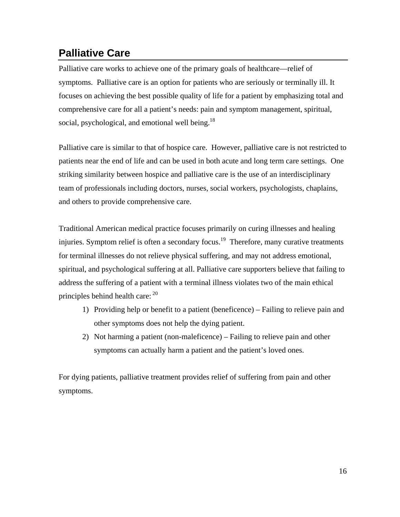# **Palliative Care**

Palliative care works to achieve one of the primary goals of healthcare—relief of symptoms. Palliative care is an option for patients who are seriously or terminally ill. It focuses on achieving the best possible quality of life for a patient by emphasizing total and comprehensive care for all a patient's needs: pain and symptom management, spiritual, social, psychological, and emotional well being.<sup>18</sup>

Palliative care is similar to that of hospice care. However, palliative care is not restricted to patients near the end of life and can be used in both acute and long term care settings. One striking similarity between hospice and palliative care is the use of an interdisciplinary team of professionals including doctors, nurses, social workers, psychologists, chaplains, and others to provide comprehensive care.

Traditional American medical practice focuses primarily on curing illnesses and healing injuries. Symptom relief is often a secondary focus.<sup>19</sup> Therefore, many curative treatments for terminal illnesses do not relieve physical suffering, and may not address emotional, spiritual, and psychological suffering at all. Palliative care supporters believe that failing to address the suffering of a patient with a terminal illness violates two of the main ethical principles behind health care:  $20$ 

- 1) Providing help or benefit to a patient (beneficence) Failing to relieve pain and other symptoms does not help the dying patient.
- 2) Not harming a patient (non-maleficence) Failing to relieve pain and other symptoms can actually harm a patient and the patient's loved ones.

For dying patients, palliative treatment provides relief of suffering from pain and other symptoms.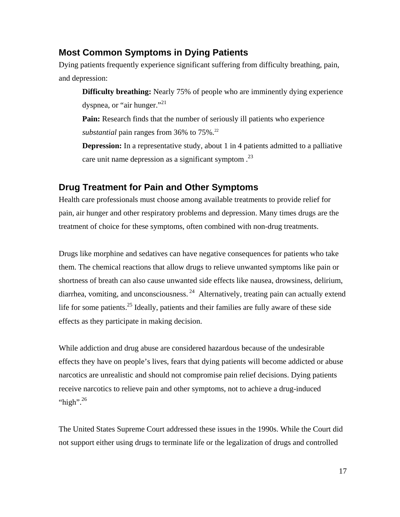#### **Most Common Symptoms in Dying Patients**

Dying patients frequently experience significant suffering from difficulty breathing, pain, and depression:

**Difficulty breathing:** Nearly 75% of people who are imminently dying experience dyspnea, or "air hunger."<sup>21</sup>

**Pain:** Research finds that the number of seriously ill patients who experience *substantial* pain ranges from 36% to 75%.<sup>22</sup>

**Depression:** In a representative study, about 1 in 4 patients admitted to a palliative care unit name depression as a significant symptom  $.23$ 

#### **Drug Treatment for Pain and Other Symptoms**

Health care professionals must choose among available treatments to provide relief for pain, air hunger and other respiratory problems and depression. Many times drugs are the treatment of choice for these symptoms, often combined with non-drug treatments.

Drugs like morphine and sedatives can have negative consequences for patients who take them. The chemical reactions that allow drugs to relieve unwanted symptoms like pain or shortness of breath can also cause unwanted side effects like nausea, drowsiness, delirium, diarrhea, vomiting, and unconsciousness.  $^{24}$  Alternatively, treating pain can actually extend life for some patients.<sup>25</sup> Ideally, patients and their families are fully aware of these side effects as they participate in making decision.

While addiction and drug abuse are considered hazardous because of the undesirable effects they have on people's lives, fears that dying patients will become addicted or abuse narcotics are unrealistic and should not compromise pain relief decisions. Dying patients receive narcotics to relieve pain and other symptoms, not to achieve a drug-induced "high". $^{26}$ 

The United States Supreme Court addressed these issues in the 1990s. While the Court did not support either using drugs to terminate life or the legalization of drugs and controlled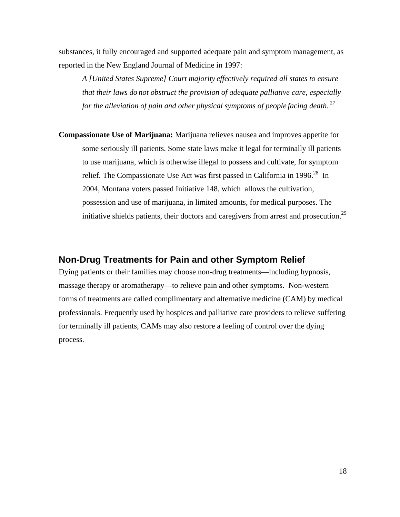substances, it fully encouraged and supported adequate pain and symptom management, as reported in the New England Journal of Medicine in 1997:

*A [United States Supreme] Court majority effectively required all states to ensure that their laws do not obstruct the provision of adequate palliative care, especially for the alleviation of pain and other physical symptoms of people facing death*. 27

**Compassionate Use of Marijuana:** Marijuana relieves nausea and improves appetite for some seriously ill patients. Some state laws make it legal for terminally ill patients to use marijuana, which is otherwise illegal to possess and cultivate, for symptom relief. The Compassionate Use Act was first passed in California in 1996.<sup>28</sup> In 2004, Montana voters passed Initiative 148, which allows the cultivation, possession and use of marijuana, in limited amounts, for medical purposes. The initiative shields patients, their doctors and caregivers from arrest and prosecution.<sup>29</sup>

#### **Non-Drug Treatments for Pain and other Symptom Relief**

Dying patients or their families may choose non-drug treatments—including hypnosis, massage therapy or aromatherapy—to relieve pain and other symptoms. Non-western forms of treatments are called complimentary and alternative medicine (CAM) by medical professionals. Frequently used by hospices and palliative care providers to relieve suffering for terminally ill patients, CAMs may also restore a feeling of control over the dying process.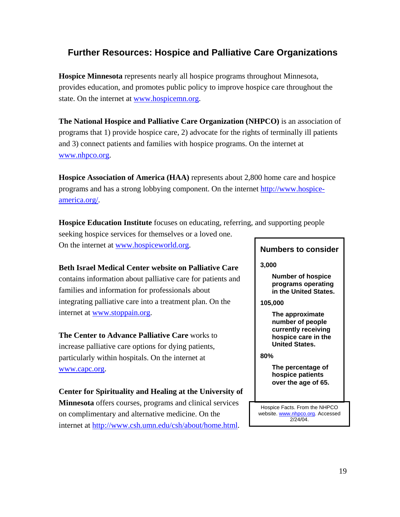## **Further Resources: Hospice and Palliative Care Organizations**

**Hospice Minnesota** represents nearly all hospice programs throughout Minnesota, provides education, and promotes public policy to improve hospice care throughout the state. On the internet at www.hospicemn.org.

**The National Hospice and Palliative Care Organization (NHPCO)** is an association of programs that 1) provide hospice care, 2) advocate for the rights of terminally ill patients and 3) connect patients and families with hospice programs. On the internet at www.nhpco.org.

**Hospice Association of America (HAA)** represents about 2,800 home care and hospice programs and has a strong lobbying component. On the internet http://www.hospiceamerica.org/.

**Hospice Education Institute** focuses on educating, referring, and supporting people seeking hospice services for themselves or a loved one. On the internet at www.hospiceworld.org.

**Beth Israel Medical Center website on Palliative Care**  contains information about palliative care for patients and families and information for professionals about integrating palliative care into a treatment plan. On the internet at www.stoppain.org.

**The Center to Advance Palliative Care** works to increase palliative care options for dying patients, particularly within hospitals. On the internet at www.capc.org.

**Center for Spirituality and Healing at the University of Minnesota** offers courses, programs and clinical services on complimentary and alternative medicine. On the internet at http://www.csh.umn.edu/csh/about/home.html.

#### **Numbers to consider**

**3,000** 

**Number of hospice programs operating in the United States.** 

**105,000** 

**The approximate number of people currently receiving hospice care in the United States.** 

**80%** 

**The percentage of hospice patients over the age of 65.** 

Hospice Facts. From the NHPCO website. www.nhpco.org. Accessed 2/24/04.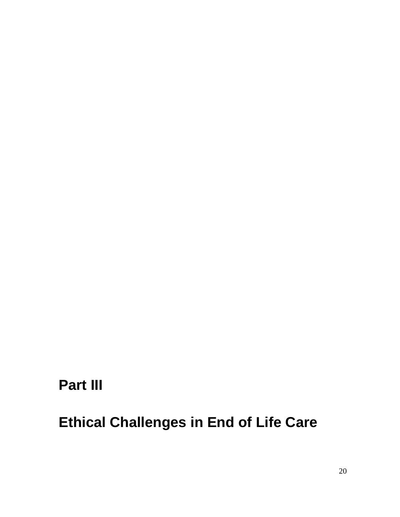# **Part III**

# **Ethical Challenges in End of Life Care**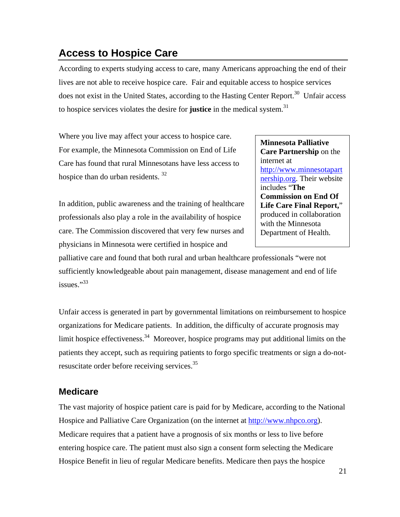## **Access to Hospice Care**

According to experts studying access to care, many Americans approaching the end of their lives are not able to receive hospice care. Fair and equitable access to hospice services does not exist in the United States, according to the Hasting Center Report.<sup>30</sup> Unfair access to hospice services violates the desire for **justice** in the medical system.<sup>31</sup>

Where you live may affect your access to hospice care. For example, the Minnesota Commission on End of Life Care has found that rural Minnesotans have less access to hospice than do urban residents. 32

In addition, public awareness and the training of healthcare professionals also play a role in the availability of hospice care. The Commission discovered that very few nurses and physicians in Minnesota were certified in hospice and

**Minnesota Palliative Care Partnership** on the internet at http://www.minnesotapart nership.org. Their website includes "**The Commission on End Of Life Care Final Report,**" produced in collaboration with the Minnesota Department of Health.

palliative care and found that both rural and urban healthcare professionals "were not sufficiently knowledgeable about pain management, disease management and end of life issues."<sup>33</sup>

Unfair access is generated in part by governmental limitations on reimbursement to hospice organizations for Medicare patients. In addition, the difficulty of accurate prognosis may limit hospice effectiveness.<sup>34</sup> Moreover, hospice programs may put additional limits on the patients they accept, such as requiring patients to forgo specific treatments or sign a do-notresuscitate order before receiving services.35

### **Medicare**

The vast majority of hospice patient care is paid for by Medicare, according to the National Hospice and Palliative Care Organization (on the internet at http://www.nhpco.org). Medicare requires that a patient have a prognosis of six months or less to live before entering hospice care. The patient must also sign a consent form selecting the Medicare Hospice Benefit in lieu of regular Medicare benefits. Medicare then pays the hospice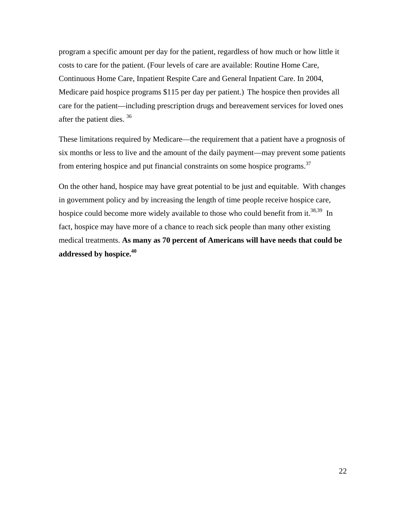program a specific amount per day for the patient, regardless of how much or how little it costs to care for the patient. (Four levels of care are available: Routine Home Care, Continuous Home Care, Inpatient Respite Care and General Inpatient Care. In 2004, Medicare paid hospice programs \$115 per day per patient.) The hospice then provides all care for the patient—including prescription drugs and bereavement services for loved ones after the patient dies. 36

These limitations required by Medicare—the requirement that a patient have a prognosis of six months or less to live and the amount of the daily payment—may prevent some patients from entering hospice and put financial constraints on some hospice programs.37

On the other hand, hospice may have great potential to be just and equitable. With changes in government policy and by increasing the length of time people receive hospice care, hospice could become more widely available to those who could benefit from it.<sup>38,39</sup> In fact, hospice may have more of a chance to reach sick people than many other existing medical treatments. **As many as 70 percent of Americans will have needs that could be addressed by hospice.40**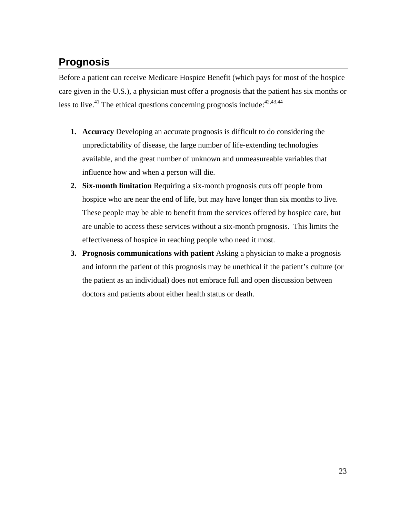# **Prognosis**

Before a patient can receive Medicare Hospice Benefit (which pays for most of the hospice care given in the U.S.), a physician must offer a prognosis that the patient has six months or less to live.<sup>41</sup> The ethical questions concerning prognosis include:  $42,43,44$ 

- **1. Accuracy** Developing an accurate prognosis is difficult to do considering the unpredictability of disease, the large number of life-extending technologies available, and the great number of unknown and unmeasureable variables that influence how and when a person will die.
- **2. Six-month limitation** Requiring a six-month prognosis cuts off people from hospice who are near the end of life, but may have longer than six months to live. These people may be able to benefit from the services offered by hospice care, but are unable to access these services without a six-month prognosis. This limits the effectiveness of hospice in reaching people who need it most.
- **3. Prognosis communications with patient** Asking a physician to make a prognosis and inform the patient of this prognosis may be unethical if the patient's culture (or the patient as an individual) does not embrace full and open discussion between doctors and patients about either health status or death.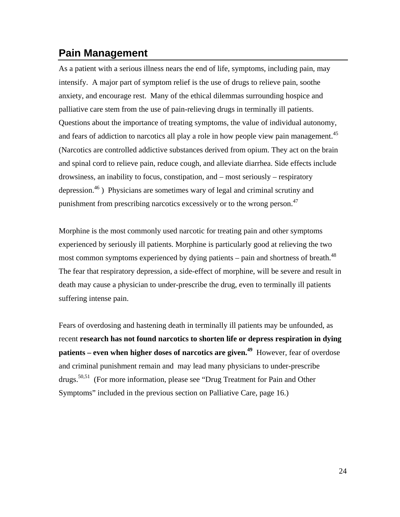## **Pain Management**

As a patient with a serious illness nears the end of life, symptoms, including pain, may intensify. A major part of symptom relief is the use of drugs to relieve pain, soothe anxiety, and encourage rest. Many of the ethical dilemmas surrounding hospice and palliative care stem from the use of pain-relieving drugs in terminally ill patients. Questions about the importance of treating symptoms, the value of individual autonomy, and fears of addiction to narcotics all play a role in how people view pain management.<sup>45</sup> (Narcotics are controlled addictive substances derived from opium. They act on the brain and spinal cord to relieve pain, reduce cough, and alleviate diarrhea. Side effects include drowsiness, an inability to focus, constipation, and – most seriously – respiratory depression.<sup>46</sup>) Physicians are sometimes wary of legal and criminal scrutiny and punishment from prescribing narcotics excessively or to the wrong person.<sup>47</sup>

Morphine is the most commonly used narcotic for treating pain and other symptoms experienced by seriously ill patients. Morphine is particularly good at relieving the two most common symptoms experienced by dying patients – pain and shortness of breath. $^{48}$ The fear that respiratory depression, a side-effect of morphine, will be severe and result in death may cause a physician to under-prescribe the drug, even to terminally ill patients suffering intense pain.

Fears of overdosing and hastening death in terminally ill patients may be unfounded, as recent **research has not found narcotics to shorten life or depress respiration in dying patients – even when higher doses of narcotics are given.**<sup>49</sup> However, fear of overdose and criminal punishment remain and may lead many physicians to under-prescribe drugs.<sup>50,51</sup> (For more information, please see "Drug Treatment for Pain and Other Symptoms" included in the previous section on Palliative Care, page 16.)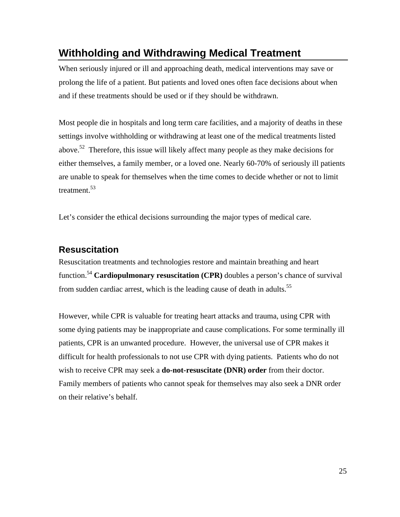## **Withholding and Withdrawing Medical Treatment**

When seriously injured or ill and approaching death, medical interventions may save or prolong the life of a patient. But patients and loved ones often face decisions about when and if these treatments should be used or if they should be withdrawn.

Most people die in hospitals and long term care facilities, and a majority of deaths in these settings involve withholding or withdrawing at least one of the medical treatments listed above.<sup>52</sup> Therefore, this issue will likely affect many people as they make decisions for either themselves, a family member, or a loved one. Nearly 60-70% of seriously ill patients are unable to speak for themselves when the time comes to decide whether or not to limit treatment.<sup>53</sup>

Let's consider the ethical decisions surrounding the major types of medical care.

#### **Resuscitation**

Resuscitation treatments and technologies restore and maintain breathing and heart function.54 **Cardiopulmonary resuscitation (CPR)** doubles a person's chance of survival from sudden cardiac arrest, which is the leading cause of death in adults.<sup>55</sup>

However, while CPR is valuable for treating heart attacks and trauma, using CPR with some dying patients may be inappropriate and cause complications. For some terminally ill patients, CPR is an unwanted procedure. However, the universal use of CPR makes it difficult for health professionals to not use CPR with dying patients. Patients who do not wish to receive CPR may seek a **do-not-resuscitate (DNR) order** from their doctor. Family members of patients who cannot speak for themselves may also seek a DNR order on their relative's behalf.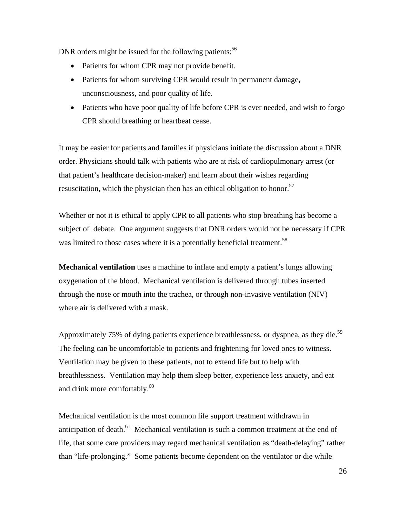DNR orders might be issued for the following patients: $56$ 

- Patients for whom CPR may not provide benefit.
- Patients for whom surviving CPR would result in permanent damage, unconsciousness, and poor quality of life.
- Patients who have poor quality of life before CPR is ever needed, and wish to forgo CPR should breathing or heartbeat cease.

It may be easier for patients and families if physicians initiate the discussion about a DNR order. Physicians should talk with patients who are at risk of cardiopulmonary arrest (or that patient's healthcare decision-maker) and learn about their wishes regarding resuscitation, which the physician then has an ethical obligation to honor.<sup>57</sup>

Whether or not it is ethical to apply CPR to all patients who stop breathing has become a subject of debate. One argument suggests that DNR orders would not be necessary if CPR was limited to those cases where it is a potentially beneficial treatment.<sup>58</sup>

**Mechanical ventilation** uses a machine to inflate and empty a patient's lungs allowing oxygenation of the blood. Mechanical ventilation is delivered through tubes inserted through the nose or mouth into the trachea, or through non-invasive ventilation (NIV) where air is delivered with a mask.

Approximately 75% of dying patients experience breathlessness, or dyspnea, as they die.<sup>59</sup> The feeling can be uncomfortable to patients and frightening for loved ones to witness. Ventilation may be given to these patients, not to extend life but to help with breathlessness. Ventilation may help them sleep better, experience less anxiety, and eat and drink more comfortably.<sup>60</sup>

Mechanical ventilation is the most common life support treatment withdrawn in anticipation of death.<sup>61</sup> Mechanical ventilation is such a common treatment at the end of life, that some care providers may regard mechanical ventilation as "death-delaying" rather than "life-prolonging." Some patients become dependent on the ventilator or die while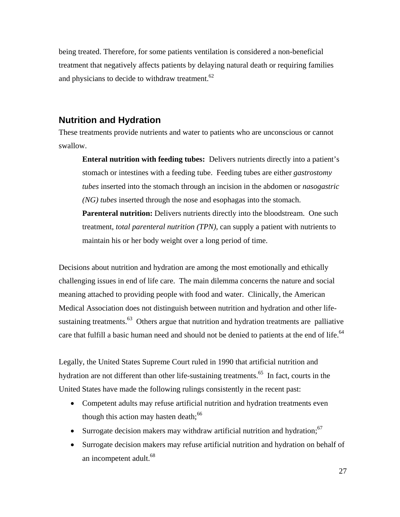being treated. Therefore, for some patients ventilation is considered a non-beneficial treatment that negatively affects patients by delaying natural death or requiring families and physicians to decide to withdraw treatment.<sup>62</sup>

#### **Nutrition and Hydration**

These treatments provide nutrients and water to patients who are unconscious or cannot swallow.

**Enteral nutrition with feeding tubes:** Delivers nutrients directly into a patient's stomach or intestines with a feeding tube. Feeding tubes are either *gastrostomy tubes* inserted into the stomach through an incision in the abdomen or *nasogastric (NG) tubes* inserted through the nose and esophagas into the stomach. **Parenteral nutrition:** Delivers nutrients directly into the bloodstream. One such treatment, *total parenteral nutrition (TPN)*, can supply a patient with nutrients to maintain his or her body weight over a long period of time.

Decisions about nutrition and hydration are among the most emotionally and ethically challenging issues in end of life care. The main dilemma concerns the nature and social meaning attached to providing people with food and water. Clinically, the American Medical Association does not distinguish between nutrition and hydration and other lifesustaining treatments.<sup>63</sup> Others argue that nutrition and hydration treatments are palliative care that fulfill a basic human need and should not be denied to patients at the end of life.<sup>64</sup>

Legally, the United States Supreme Court ruled in 1990 that artificial nutrition and hydration are not different than other life-sustaining treatments.<sup>65</sup> In fact, courts in the United States have made the following rulings consistently in the recent past:

- Competent adults may refuse artificial nutrition and hydration treatments even though this action may hasten death; $66$
- Surrogate decision makers may withdraw artificial nutrition and hydration;  $67$
- Surrogate decision makers may refuse artificial nutrition and hydration on behalf of an incompetent adult.<sup>68</sup>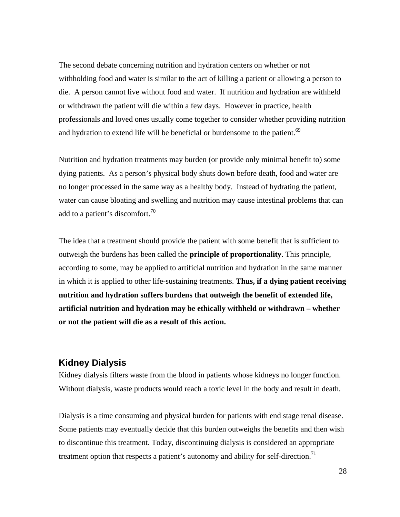The second debate concerning nutrition and hydration centers on whether or not withholding food and water is similar to the act of killing a patient or allowing a person to die. A person cannot live without food and water. If nutrition and hydration are withheld or withdrawn the patient will die within a few days. However in practice, health professionals and loved ones usually come together to consider whether providing nutrition and hydration to extend life will be beneficial or burdensome to the patient.<sup>69</sup>

Nutrition and hydration treatments may burden (or provide only minimal benefit to) some dying patients. As a person's physical body shuts down before death, food and water are no longer processed in the same way as a healthy body. Instead of hydrating the patient, water can cause bloating and swelling and nutrition may cause intestinal problems that can add to a patient's discomfort. $^{70}$ 

The idea that a treatment should provide the patient with some benefit that is sufficient to outweigh the burdens has been called the **principle of proportionality**. This principle, according to some, may be applied to artificial nutrition and hydration in the same manner in which it is applied to other life-sustaining treatments. **Thus, if a dying patient receiving nutrition and hydration suffers burdens that outweigh the benefit of extended life, artificial nutrition and hydration may be ethically withheld or withdrawn – whether or not the patient will die as a result of this action.** 

#### **Kidney Dialysis**

Kidney dialysis filters waste from the blood in patients whose kidneys no longer function. Without dialysis, waste products would reach a toxic level in the body and result in death.

Dialysis is a time consuming and physical burden for patients with end stage renal disease. Some patients may eventually decide that this burden outweighs the benefits and then wish to discontinue this treatment. Today, discontinuing dialysis is considered an appropriate treatment option that respects a patient's autonomy and ability for self-direction.<sup>71</sup>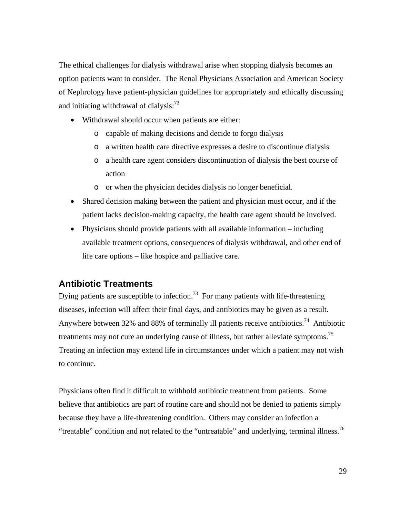The ethical challenges for dialysis withdrawal arise when stopping dialysis becomes an option patients want to consider. The Renal Physicians Association and American Society of Nephrology have patient-physician guidelines for appropriately and ethically discussing and initiating withdrawal of dialysis: $^{72}$ 

- Withdrawal should occur when patients are either:
	- o capable of making decisions and decide to forgo dialysis
	- o a written health care directive expresses a desire to discontinue dialysis
	- o a health care agent considers discontinuation of dialysis the best course of action
	- o or when the physician decides dialysis no longer beneficial.
- Shared decision making between the patient and physician must occur, and if the patient lacks decision-making capacity, the health care agent should be involved.
- Physicians should provide patients with all available information including available treatment options, consequences of dialysis withdrawal, and other end of life care options – like hospice and palliative care.

### **Antibiotic Treatments**

Dying patients are susceptible to infection.<sup>73</sup> For many patients with life-threatening diseases, infection will affect their final days, and antibiotics may be given as a result. Anywhere between 32% and 88% of terminally ill patients receive antibiotics.<sup>74</sup> Antibiotic treatments may not cure an underlying cause of illness, but rather alleviate symptoms.<sup>75</sup> Treating an infection may extend life in circumstances under which a patient may not wish to continue.

Physicians often find it difficult to withhold antibiotic treatment from patients. Some believe that antibiotics are part of routine care and should not be denied to patients simply because they have a life-threatening condition. Others may consider an infection a "treatable" condition and not related to the "untreatable" and underlying, terminal illness.<sup>76</sup>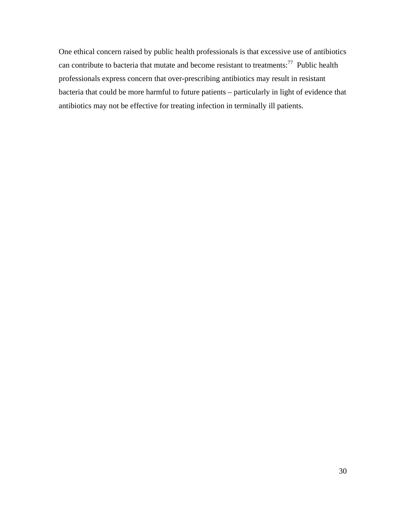One ethical concern raised by public health professionals is that excessive use of antibiotics can contribute to bacteria that mutate and become resistant to treatments: $77$  Public health professionals express concern that over-prescribing antibiotics may result in resistant bacteria that could be more harmful to future patients – particularly in light of evidence that antibiotics may not be effective for treating infection in terminally ill patients.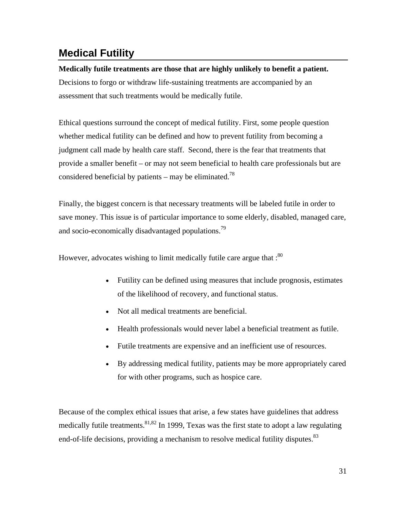## **Medical Futility**

## **Medically futile treatments are those that are highly unlikely to benefit a patient.**  Decisions to forgo or withdraw life-sustaining treatments are accompanied by an assessment that such treatments would be medically futile.

Ethical questions surround the concept of medical futility. First, some people question whether medical futility can be defined and how to prevent futility from becoming a judgment call made by health care staff. Second, there is the fear that treatments that provide a smaller benefit – or may not seem beneficial to health care professionals but are considered beneficial by patients – may be eliminated.<sup>78</sup>

Finally, the biggest concern is that necessary treatments will be labeled futile in order to save money. This issue is of particular importance to some elderly, disabled, managed care, and socio-economically disadvantaged populations.<sup>79</sup>

However, advocates wishing to limit medically futile care argue that  $\cdot^{80}$ 

- Futility can be defined using measures that include prognosis, estimates of the likelihood of recovery, and functional status.
- Not all medical treatments are beneficial.
- Health professionals would never label a beneficial treatment as futile.
- Futile treatments are expensive and an inefficient use of resources.
- By addressing medical futility, patients may be more appropriately cared for with other programs, such as hospice care.

Because of the complex ethical issues that arise, a few states have guidelines that address medically futile treatments.  $81,82$  In 1999, Texas was the first state to adopt a law regulating end-of-life decisions, providing a mechanism to resolve medical futility disputes.<sup>83</sup>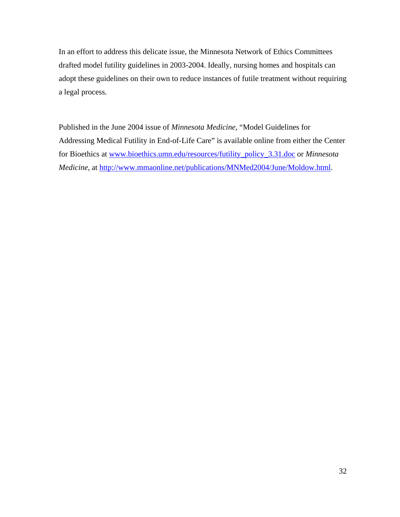In an effort to address this delicate issue, the Minnesota Network of Ethics Committees drafted model futility guidelines in 2003-2004. Ideally, nursing homes and hospitals can adopt these guidelines on their own to reduce instances of futile treatment without requiring a legal process.

Published in the June 2004 issue of *Minnesota Medicine,* "Model Guidelines for Addressing Medical Futility in End-of-Life Care" is available online from either the Center for Bioethics at www.bioethics.umn.edu/resources/futility\_policy\_3.31.doc or *Minnesota Medicine*, at http://www.mmaonline.net/publications/MNMed2004/June/Moldow.html.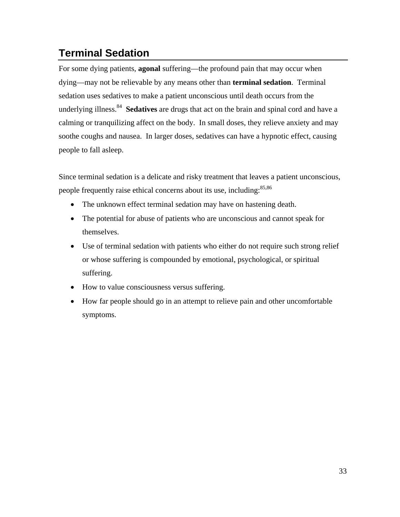# **Terminal Sedation**

For some dying patients, **agonal** suffering—the profound pain that may occur when dying—may not be relievable by any means other than **terminal sedation**. Terminal sedation uses sedatives to make a patient unconscious until death occurs from the underlying illness.84 **Sedatives** are drugs that act on the brain and spinal cord and have a calming or tranquilizing affect on the body. In small doses, they relieve anxiety and may soothe coughs and nausea. In larger doses, sedatives can have a hypnotic effect, causing people to fall asleep.

Since terminal sedation is a delicate and risky treatment that leaves a patient unconscious, people frequently raise ethical concerns about its use, including:<sup>85,86</sup>

- The unknown effect terminal sedation may have on hastening death.
- The potential for abuse of patients who are unconscious and cannot speak for themselves.
- Use of terminal sedation with patients who either do not require such strong relief or whose suffering is compounded by emotional, psychological, or spiritual suffering.
- How to value consciousness versus suffering.
- How far people should go in an attempt to relieve pain and other uncomfortable symptoms.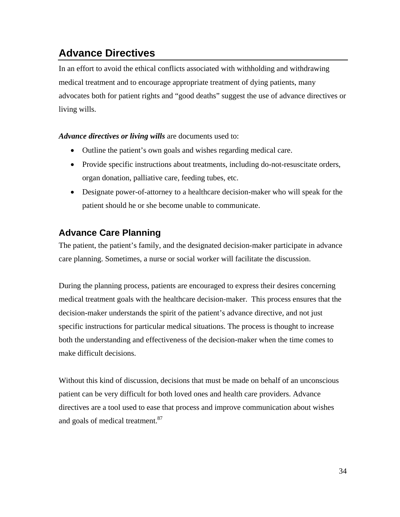# **Advance Directives**

In an effort to avoid the ethical conflicts associated with withholding and withdrawing medical treatment and to encourage appropriate treatment of dying patients, many advocates both for patient rights and "good deaths" suggest the use of advance directives or living wills.

*Advance directives or living wills* are documents used to:

- Outline the patient's own goals and wishes regarding medical care.
- Provide specific instructions about treatments, including do-not-resuscitate orders, organ donation, palliative care, feeding tubes, etc.
- Designate power-of-attorney to a healthcare decision-maker who will speak for the patient should he or she become unable to communicate.

## **Advance Care Planning**

The patient, the patient's family, and the designated decision-maker participate in advance care planning. Sometimes, a nurse or social worker will facilitate the discussion.

During the planning process, patients are encouraged to express their desires concerning medical treatment goals with the healthcare decision-maker. This process ensures that the decision-maker understands the spirit of the patient's advance directive, and not just specific instructions for particular medical situations. The process is thought to increase both the understanding and effectiveness of the decision-maker when the time comes to make difficult decisions.

Without this kind of discussion, decisions that must be made on behalf of an unconscious patient can be very difficult for both loved ones and health care providers. Advance directives are a tool used to ease that process and improve communication about wishes and goals of medical treatment.<sup>87</sup>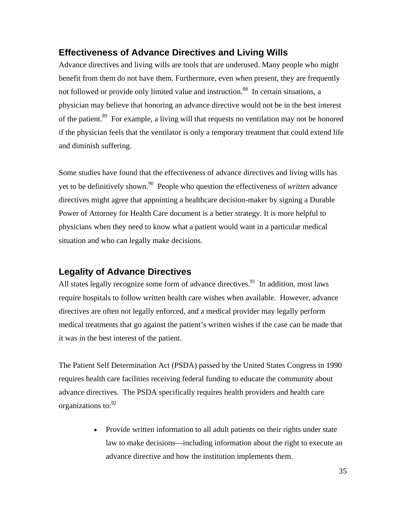#### **Effectiveness of Advance Directives and Living Wills**

Advance directives and living wills are tools that are underused. Many people who might benefit from them do not have them. Furthermore, even when present, they are frequently not followed or provide only limited value and instruction.<sup>88</sup> In certain situations, a physician may believe that honoring an advance directive would not be in the best interest of the patient.<sup>89</sup> For example, a living will that requests no ventilation may not be honored if the physician feels that the ventilator is only a temporary treatment that could extend life and diminish suffering.

Some studies have found that the effectiveness of advance directives and living wills has yet to be definitively shown.90 People who question the effectiveness of *written* advance directives might agree that appointing a healthcare decision-maker by signing a Durable Power of Attorney for Health Care document is a better strategy. It is more helpful to physicians when they need to know what a patient would want in a particular medical situation and who can legally make decisions.

### **Legality of Advance Directives**

All states legally recognize some form of advance directives.<sup>91</sup> In addition, most laws require hospitals to follow written health care wishes when available. However, advance directives are often not legally enforced, and a medical provider may legally perform medical treatments that go against the patient's written wishes if the case can be made that it was in the best interest of the patient.

The Patient Self Determination Act (PSDA) passed by the United States Congress in 1990 requires health care facilities receiving federal funding to educate the community about advance directives. The PSDA specifically requires health providers and health care organizations to: <sup>92</sup>

> • Provide written information to all adult patients on their rights under state law to make decisions—including information about the right to execute an advance directive and how the institution implements them.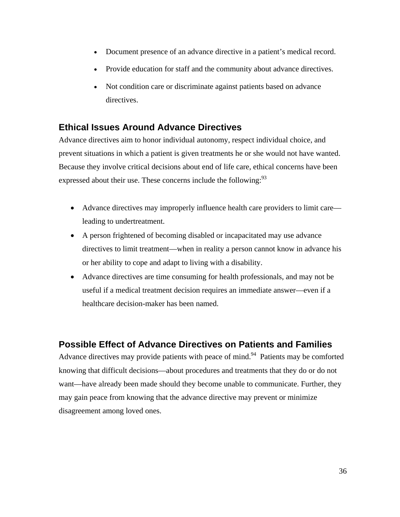- Document presence of an advance directive in a patient's medical record.
- Provide education for staff and the community about advance directives.
- Not condition care or discriminate against patients based on advance directives.

### **Ethical Issues Around Advance Directives**

Advance directives aim to honor individual autonomy, respect individual choice, and prevent situations in which a patient is given treatments he or she would not have wanted. Because they involve critical decisions about end of life care, ethical concerns have been expressed about their use. These concerns include the following:<sup>93</sup>

- Advance directives may improperly influence health care providers to limit care leading to undertreatment.
- A person frightened of becoming disabled or incapacitated may use advance directives to limit treatment—when in reality a person cannot know in advance his or her ability to cope and adapt to living with a disability.
- Advance directives are time consuming for health professionals, and may not be useful if a medical treatment decision requires an immediate answer—even if a healthcare decision-maker has been named.

### **Possible Effect of Advance Directives on Patients and Families**

Advance directives may provide patients with peace of mind.<sup>94</sup> Patients may be comforted knowing that difficult decisions—about procedures and treatments that they do or do not want—have already been made should they become unable to communicate. Further, they may gain peace from knowing that the advance directive may prevent or minimize disagreement among loved ones.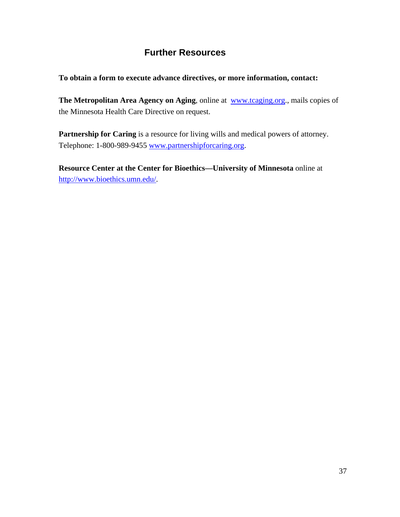## **Further Resources**

#### **To obtain a form to execute advance directives, or more information, contact:**

**The Metropolitan Area Agency on Aging**, online at www.tcaging.org., mails copies of the Minnesota Health Care Directive on request.

Partnership for Caring is a resource for living wills and medical powers of attorney. Telephone: 1-800-989-9455 www.partnershipforcaring.org.

**Resource Center at the Center for Bioethics—University of Minnesota** online at http://www.bioethics.umn.edu/.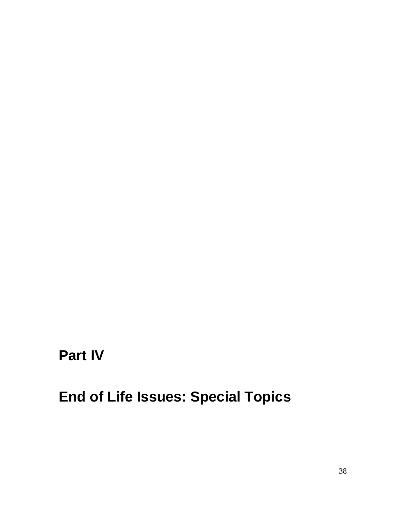# **Part IV**

# **End of Life Issues: Special Topics**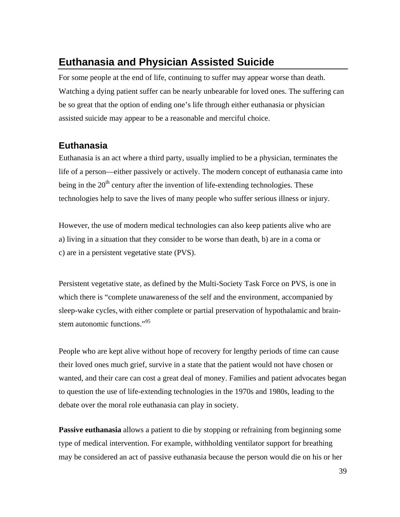## **Euthanasia and Physician Assisted Suicide**

For some people at the end of life, continuing to suffer may appear worse than death. Watching a dying patient suffer can be nearly unbearable for loved ones. The suffering can be so great that the option of ending one's life through either euthanasia or physician assisted suicide may appear to be a reasonable and merciful choice.

## **Euthanasia**

Euthanasia is an act where a third party, usually implied to be a physician, terminates the life of a person—either passively or actively. The modern concept of euthanasia came into being in the  $20<sup>th</sup>$  century after the invention of life-extending technologies. These technologies help to save the lives of many people who suffer serious illness or injury.

However, the use of modern medical technologies can also keep patients alive who are a) living in a situation that they consider to be worse than death, b) are in a coma or c) are in a persistent vegetative state (PVS).

Persistent vegetative state, as defined by the Multi-Society Task Force on PVS, is one in which there is "complete unawareness of the self and the environment, accompanied by sleep-wake cycles, with either complete or partial preservation of hypothalamic and brainstem autonomic functions."<sup>95</sup>

People who are kept alive without hope of recovery for lengthy periods of time can cause their loved ones much grief, survive in a state that the patient would not have chosen or wanted, and their care can cost a great deal of money. Families and patient advocates began to question the use of life-extending technologies in the 1970s and 1980s, leading to the debate over the moral role euthanasia can play in society.

**Passive euthanasia** allows a patient to die by stopping or refraining from beginning some type of medical intervention. For example, withholding ventilator support for breathing may be considered an act of passive euthanasia because the person would die on his or her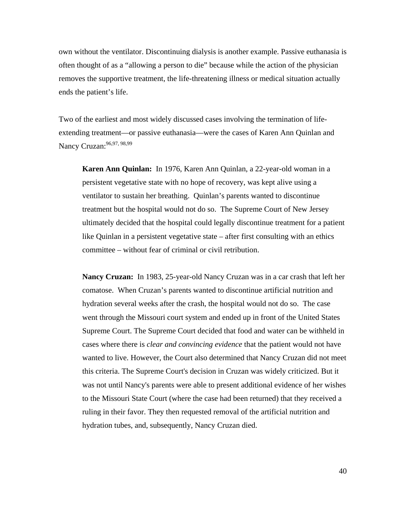own without the ventilator. Discontinuing dialysis is another example. Passive euthanasia is often thought of as a "allowing a person to die" because while the action of the physician removes the supportive treatment, the life-threatening illness or medical situation actually ends the patient's life.

Two of the earliest and most widely discussed cases involving the termination of lifeextending treatment—or passive euthanasia—were the cases of Karen Ann Quinlan and Nancy Cruzan: 96,97, 98,99

**Karen Ann Quinlan:** In 1976, Karen Ann Quinlan, a 22-year-old woman in a persistent vegetative state with no hope of recovery, was kept alive using a ventilator to sustain her breathing. Quinlan's parents wanted to discontinue treatment but the hospital would not do so. The Supreme Court of New Jersey ultimately decided that the hospital could legally discontinue treatment for a patient like Quinlan in a persistent vegetative state – after first consulting with an ethics committee – without fear of criminal or civil retribution.

**Nancy Cruzan:** In 1983, 25-year-old Nancy Cruzan was in a car crash that left her comatose. When Cruzan's parents wanted to discontinue artificial nutrition and hydration several weeks after the crash, the hospital would not do so. The case went through the Missouri court system and ended up in front of the United States Supreme Court. The Supreme Court decided that food and water can be withheld in cases where there is *clear and convincing evidence* that the patient would not have wanted to live. However, the Court also determined that Nancy Cruzan did not meet this criteria. The Supreme Court's decision in Cruzan was widely criticized. But it was not until Nancy's parents were able to present additional evidence of her wishes to the Missouri State Court (where the case had been returned) that they received a ruling in their favor. They then requested removal of the artificial nutrition and hydration tubes, and, subsequently, Nancy Cruzan died.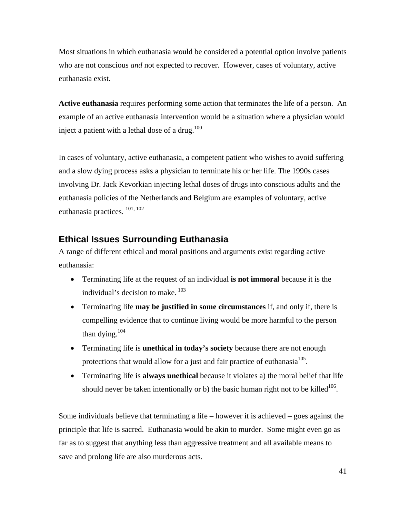Most situations in which euthanasia would be considered a potential option involve patients who are not conscious *and* not expected to recover. However, cases of voluntary, active euthanasia exist.

**Active euthanasia** requires performing some action that terminates the life of a person. An example of an active euthanasia intervention would be a situation where a physician would inject a patient with a lethal dose of a drug.<sup>100</sup>

In cases of voluntary, active euthanasia, a competent patient who wishes to avoid suffering and a slow dying process asks a physician to terminate his or her life. The 1990s cases involving Dr. Jack Kevorkian injecting lethal doses of drugs into conscious adults and the euthanasia policies of the Netherlands and Belgium are examples of voluntary, active euthanasia practices. 101, 102

## **Ethical Issues Surrounding Euthanasia**

A range of different ethical and moral positions and arguments exist regarding active euthanasia:

- Terminating life at the request of an individual **is not immoral** because it is the individual's decision to make.<sup>103</sup>
- Terminating life **may be justified in some circumstances** if, and only if, there is compelling evidence that to continue living would be more harmful to the person than dying. $104$
- Terminating life is **unethical in today's society** because there are not enough protections that would allow for a just and fair practice of euthanasia<sup>105</sup>.
- Terminating life is **always unethical** because it violates a) the moral belief that life should never be taken intentionally or b) the basic human right not to be killed<sup>106</sup>.

Some individuals believe that terminating a life – however it is achieved – goes against the principle that life is sacred. Euthanasia would be akin to murder. Some might even go as far as to suggest that anything less than aggressive treatment and all available means to save and prolong life are also murderous acts.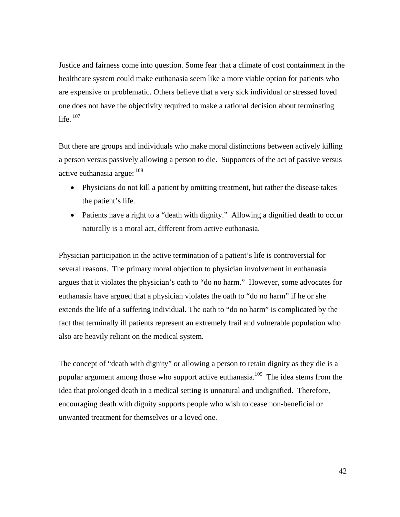Justice and fairness come into question. Some fear that a climate of cost containment in the healthcare system could make euthanasia seem like a more viable option for patients who are expensive or problematic. Others believe that a very sick individual or stressed loved one does not have the objectivity required to make a rational decision about terminating life.  $107$ 

But there are groups and individuals who make moral distinctions between actively killing a person versus passively allowing a person to die. Supporters of the act of passive versus active euthanasia argue:  $108$ 

- Physicians do not kill a patient by omitting treatment, but rather the disease takes the patient's life.
- Patients have a right to a "death with dignity." Allowing a dignified death to occur naturally is a moral act, different from active euthanasia.

Physician participation in the active termination of a patient's life is controversial for several reasons. The primary moral objection to physician involvement in euthanasia argues that it violates the physician's oath to "do no harm." However, some advocates for euthanasia have argued that a physician violates the oath to "do no harm" if he or she extends the life of a suffering individual. The oath to "do no harm" is complicated by the fact that terminally ill patients represent an extremely frail and vulnerable population who also are heavily reliant on the medical system.

The concept of "death with dignity" or allowing a person to retain dignity as they die is a popular argument among those who support active euthanasia.<sup>109</sup> The idea stems from the idea that prolonged death in a medical setting is unnatural and undignified. Therefore, encouraging death with dignity supports people who wish to cease non-beneficial or unwanted treatment for themselves or a loved one.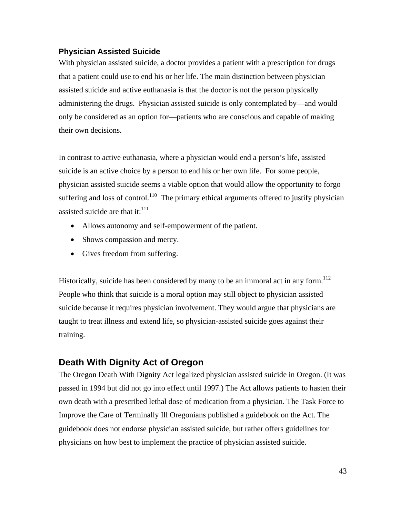#### **Physician Assisted Suicide**

With physician assisted suicide, a doctor provides a patient with a prescription for drugs that a patient could use to end his or her life. The main distinction between physician assisted suicide and active euthanasia is that the doctor is not the person physically administering the drugs. Physician assisted suicide is only contemplated by—and would only be considered as an option for—patients who are conscious and capable of making their own decisions.

In contrast to active euthanasia, where a physician would end a person's life, assisted suicide is an active choice by a person to end his or her own life. For some people, physician assisted suicide seems a viable option that would allow the opportunity to forgo suffering and loss of control.<sup>110</sup> The primary ethical arguments offered to justify physician assisted suicide are that it: $^{111}$ 

- Allows autonomy and self-empowerment of the patient.
- Shows compassion and mercy.
- Gives freedom from suffering.

Historically, suicide has been considered by many to be an immoral act in any form.<sup>112</sup> People who think that suicide is a moral option may still object to physician assisted suicide because it requires physician involvement. They would argue that physicians are taught to treat illness and extend life, so physician-assisted suicide goes against their training.

#### **Death With Dignity Act of Oregon**

The Oregon Death With Dignity Act legalized physician assisted suicide in Oregon. (It was passed in 1994 but did not go into effect until 1997.) The Act allows patients to hasten their own death with a prescribed lethal dose of medication from a physician. The Task Force to Improve the Care of Terminally Ill Oregonians published a guidebook on the Act. The guidebook does not endorse physician assisted suicide, but rather offers guidelines for physicians on how best to implement the practice of physician assisted suicide.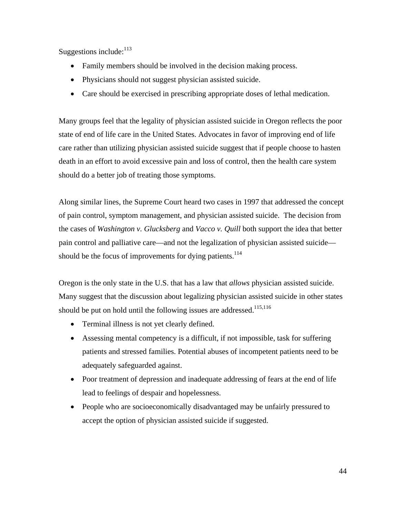Suggestions include: $^{113}$ 

- Family members should be involved in the decision making process.
- Physicians should not suggest physician assisted suicide.
- Care should be exercised in prescribing appropriate doses of lethal medication.

Many groups feel that the legality of physician assisted suicide in Oregon reflects the poor state of end of life care in the United States. Advocates in favor of improving end of life care rather than utilizing physician assisted suicide suggest that if people choose to hasten death in an effort to avoid excessive pain and loss of control, then the health care system should do a better job of treating those symptoms.

Along similar lines, the Supreme Court heard two cases in 1997 that addressed the concept of pain control, symptom management, and physician assisted suicide. The decision from the cases of *Washington v. Glucksberg* and *Vacco v. Quill* both support the idea that better pain control and palliative care—and not the legalization of physician assisted suicide should be the focus of improvements for dying patients.<sup>114</sup>

Oregon is the only state in the U.S. that has a law that *allows* physician assisted suicide. Many suggest that the discussion about legalizing physician assisted suicide in other states should be put on hold until the following issues are addressed.<sup>115,116</sup>

- Terminal illness is not yet clearly defined.
- Assessing mental competency is a difficult, if not impossible, task for suffering patients and stressed families. Potential abuses of incompetent patients need to be adequately safeguarded against.
- Poor treatment of depression and inadequate addressing of fears at the end of life lead to feelings of despair and hopelessness.
- People who are socioeconomically disadvantaged may be unfairly pressured to accept the option of physician assisted suicide if suggested.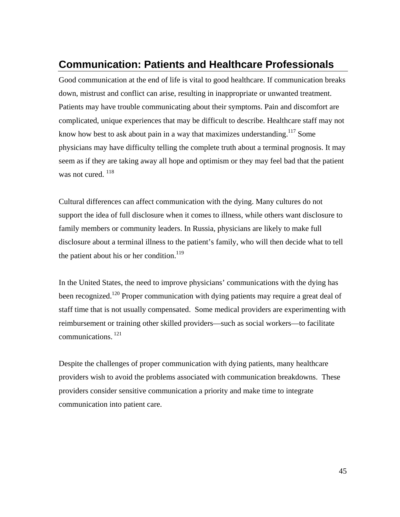## **Communication: Patients and Healthcare Professionals**

Good communication at the end of life is vital to good healthcare. If communication breaks down, mistrust and conflict can arise, resulting in inappropriate or unwanted treatment. Patients may have trouble communicating about their symptoms. Pain and discomfort are complicated, unique experiences that may be difficult to describe. Healthcare staff may not know how best to ask about pain in a way that maximizes understanding.<sup>117</sup> Some physicians may have difficulty telling the complete truth about a terminal prognosis. It may seem as if they are taking away all hope and optimism or they may feel bad that the patient was not cured.  $^{118}$ 

Cultural differences can affect communication with the dying. Many cultures do not support the idea of full disclosure when it comes to illness, while others want disclosure to family members or community leaders. In Russia, physicians are likely to make full disclosure about a terminal illness to the patient's family, who will then decide what to tell the patient about his or her condition.<sup>119</sup>

In the United States, the need to improve physicians' communications with the dying has been recognized.<sup>120</sup> Proper communication with dying patients may require a great deal of staff time that is not usually compensated. Some medical providers are experimenting with reimbursement or training other skilled providers—such as social workers—to facilitate communications. 121

Despite the challenges of proper communication with dying patients, many healthcare providers wish to avoid the problems associated with communication breakdowns. These providers consider sensitive communication a priority and make time to integrate communication into patient care.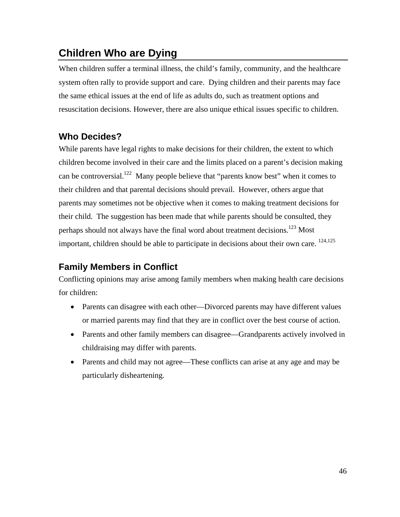## **Children Who are Dying**

When children suffer a terminal illness, the child's family, community, and the healthcare system often rally to provide support and care. Dying children and their parents may face the same ethical issues at the end of life as adults do, such as treatment options and resuscitation decisions. However, there are also unique ethical issues specific to children.

## **Who Decides?**

While parents have legal rights to make decisions for their children, the extent to which children become involved in their care and the limits placed on a parent's decision making can be controversial.<sup>122</sup> Many people believe that "parents know best" when it comes to their children and that parental decisions should prevail. However, others argue that parents may sometimes not be objective when it comes to making treatment decisions for their child. The suggestion has been made that while parents should be consulted, they perhaps should not always have the final word about treatment decisions.<sup>123</sup> Most important, children should be able to participate in decisions about their own care. 124,125

## **Family Members in Conflict**

Conflicting opinions may arise among family members when making health care decisions for children:

- Parents can disagree with each other—Divorced parents may have different values or married parents may find that they are in conflict over the best course of action.
- Parents and other family members can disagree—Grandparents actively involved in childraising may differ with parents.
- Parents and child may not agree—These conflicts can arise at any age and may be particularly disheartening.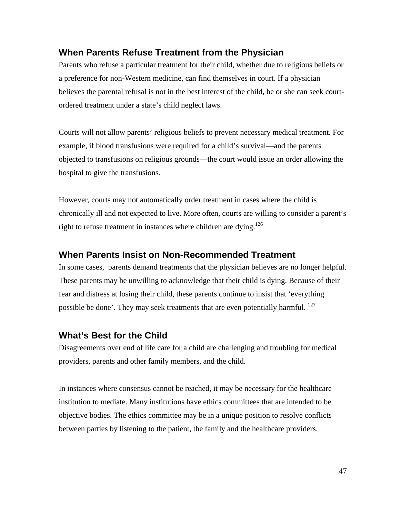## **When Parents Refuse Treatment from the Physician**

Parents who refuse a particular treatment for their child, whether due to religious beliefs or a preference for non-Western medicine, can find themselves in court. If a physician believes the parental refusal is not in the best interest of the child, he or she can seek courtordered treatment under a state's child neglect laws.

Courts will not allow parents' religious beliefs to prevent necessary medical treatment. For example, if blood transfusions were required for a child's survival—and the parents objected to transfusions on religious grounds—the court would issue an order allowing the hospital to give the transfusions.

However, courts may not automatically order treatment in cases where the child is chronically ill and not expected to live. More often, courts are willing to consider a parent's right to refuse treatment in instances where children are dying.<sup>126</sup>

#### **When Parents Insist on Non-Recommended Treatment**

In some cases, parents demand treatments that the physician believes are no longer helpful. These parents may be unwilling to acknowledge that their child is dying. Because of their fear and distress at losing their child, these parents continue to insist that 'everything possible be done'. They may seek treatments that are even potentially harmful. <sup>127</sup>

#### **What's Best for the Child**

Disagreements over end of life care for a child are challenging and troubling for medical providers, parents and other family members, and the child.

In instances where consensus cannot be reached, it may be necessary for the healthcare institution to mediate. Many institutions have ethics committees that are intended to be objective bodies. The ethics committee may be in a unique position to resolve conflicts between parties by listening to the patient, the family and the healthcare providers.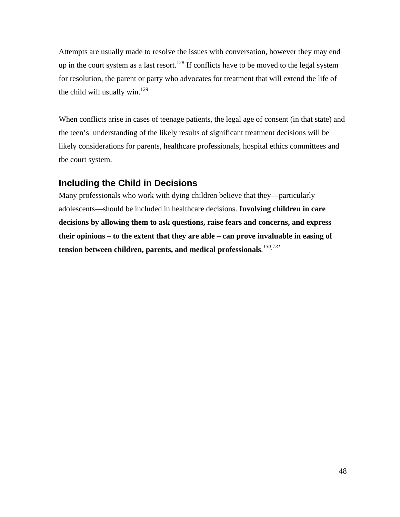Attempts are usually made to resolve the issues with conversation, however they may end up in the court system as a last resort.<sup>128</sup> If conflicts have to be moved to the legal system for resolution, the parent or party who advocates for treatment that will extend the life of the child will usually win. $129$ 

When conflicts arise in cases of teenage patients, the legal age of consent (in that state) and the teen's understanding of the likely results of significant treatment decisions will be likely considerations for parents, healthcare professionals, hospital ethics committees and tbe court system.

## **Including the Child in Decisions**

Many professionals who work with dying children believe that they—particularly adolescents—should be included in healthcare decisions. **Involving children in care decisions by allowing them to ask questions, raise fears and concerns, and express their opinions – to the extent that they are able – can prove invaluable in easing of tension between children, parents, and medical professionals***. 130*, *131*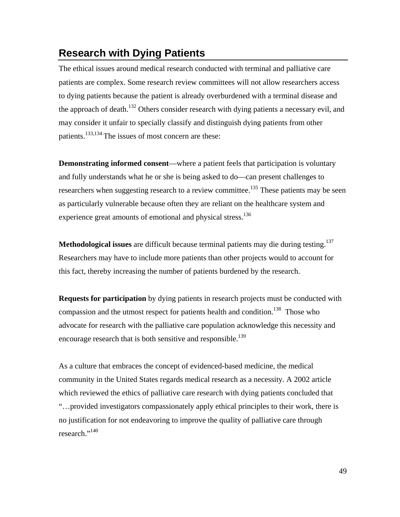## **Research with Dying Patients**

The ethical issues around medical research conducted with terminal and palliative care patients are complex. Some research review committees will not allow researchers access to dying patients because the patient is already overburdened with a terminal disease and the approach of death.<sup>132</sup> Others consider research with dying patients a necessary evil, and may consider it unfair to specially classify and distinguish dying patients from other patients.<sup>133,134</sup> The issues of most concern are these:

**Demonstrating informed consent**—where a patient feels that participation is voluntary and fully understands what he or she is being asked to do—can present challenges to researchers when suggesting research to a review committee.<sup>135</sup> These patients may be seen as particularly vulnerable because often they are reliant on the healthcare system and experience great amounts of emotional and physical stress.<sup>136</sup>

**Methodological issues** are difficult because terminal patients may die during testing.<sup>137</sup> Researchers may have to include more patients than other projects would to account for this fact, thereby increasing the number of patients burdened by the research.

**Requests for participation** by dying patients in research projects must be conducted with compassion and the utmost respect for patients health and condition.<sup>138</sup> Those who advocate for research with the palliative care population acknowledge this necessity and encourage research that is both sensitive and responsible.<sup>139</sup>

As a culture that embraces the concept of evidenced-based medicine, the medical community in the United States regards medical research as a necessity. A 2002 article which reviewed the ethics of palliative care research with dying patients concluded that "…provided investigators compassionately apply ethical principles to their work, there is no justification for not endeavoring to improve the quality of palliative care through research."<sup>140</sup>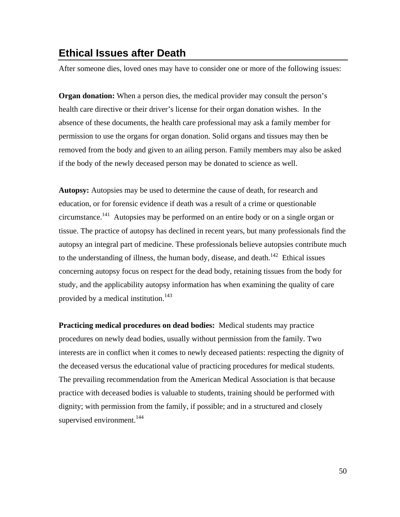## **Ethical Issues after Death**

After someone dies, loved ones may have to consider one or more of the following issues:

**Organ donation:** When a person dies, the medical provider may consult the person's health care directive or their driver's license for their organ donation wishes. In the absence of these documents, the health care professional may ask a family member for permission to use the organs for organ donation. Solid organs and tissues may then be removed from the body and given to an ailing person. Family members may also be asked if the body of the newly deceased person may be donated to science as well.

**Autopsy:** Autopsies may be used to determine the cause of death, for research and education, or for forensic evidence if death was a result of a crime or questionable circumstance.141 Autopsies may be performed on an entire body or on a single organ or tissue. The practice of autopsy has declined in recent years, but many professionals find the autopsy an integral part of medicine. These professionals believe autopsies contribute much to the understanding of illness, the human body, disease, and death.<sup>142</sup> Ethical issues concerning autopsy focus on respect for the dead body, retaining tissues from the body for study, and the applicability autopsy information has when examining the quality of care provided by a medical institution.<sup>143</sup>

**Practicing medical procedures on dead bodies:** Medical students may practice procedures on newly dead bodies, usually without permission from the family. Two interests are in conflict when it comes to newly deceased patients: respecting the dignity of the deceased versus the educational value of practicing procedures for medical students. The prevailing recommendation from the American Medical Association is that because practice with deceased bodies is valuable to students, training should be performed with dignity; with permission from the family, if possible; and in a structured and closely supervised environment.<sup>144</sup>

50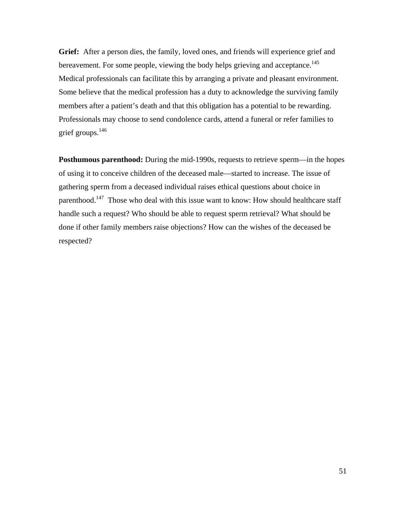**Grief:** After a person dies, the family, loved ones, and friends will experience grief and bereavement. For some people, viewing the body helps grieving and acceptance.<sup>145</sup> Medical professionals can facilitate this by arranging a private and pleasant environment. Some believe that the medical profession has a duty to acknowledge the surviving family members after a patient's death and that this obligation has a potential to be rewarding. Professionals may choose to send condolence cards, attend a funeral or refer families to grief groups.146

**Posthumous parenthood:** During the mid-1990s, requests to retrieve sperm—in the hopes of using it to conceive children of the deceased male—started to increase. The issue of gathering sperm from a deceased individual raises ethical questions about choice in parenthood.<sup>147</sup> Those who deal with this issue want to know: How should healthcare staff handle such a request? Who should be able to request sperm retrieval? What should be done if other family members raise objections? How can the wishes of the deceased be respected?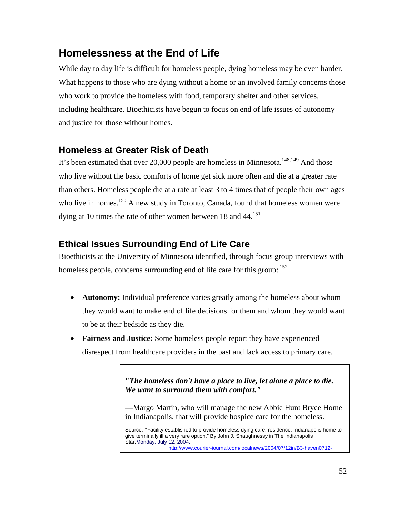## **Homelessness at the End of Life**

While day to day life is difficult for homeless people, dying homeless may be even harder. What happens to those who are dying without a home or an involved family concerns those who work to provide the homeless with food, temporary shelter and other services, including healthcare. Bioethicists have begun to focus on end of life issues of autonomy and justice for those without homes.

## **Homeless at Greater Risk of Death**

It's been estimated that over 20,000 people are homeless in Minnesota.<sup>148,149</sup> And those who live without the basic comforts of home get sick more often and die at a greater rate than others. Homeless people die at a rate at least 3 to 4 times that of people their own ages who live in homes.<sup>150</sup> A new study in Toronto, Canada, found that homeless women were dying at 10 times the rate of other women between 18 and 44.<sup>151</sup>

## **Ethical Issues Surrounding End of Life Care**

Bioethicists at the University of Minnesota identified, through focus group interviews with homeless people, concerns surrounding end of life care for this group:  $152$ 

- **Autonomy:** Individual preference varies greatly among the homeless about whom they would want to make end of life decisions for them and whom they would want to be at their bedside as they die.
- **Fairness and Justice:** Some homeless people report they have experienced disrespect from healthcare providers in the past and lack access to primary care.

**"***The homeless don't have a place to live, let alone a place to die. We want to surround them with comfort."*

—Margo Martin, who will manage the new Abbie Hunt Bryce Home in Indianapolis, that will provide hospice care for the homeless.

**Further References**  give terminally ill a very rare option," By John J. Shaughnessy in The Indianapolis Source: **"**Facility established to provide homeless dying care, residence: Indianapolis home to Star,Monday, July 12, 2004. http://www.courier-journal.com/localnews/2004/07/12in/B3-haven0712-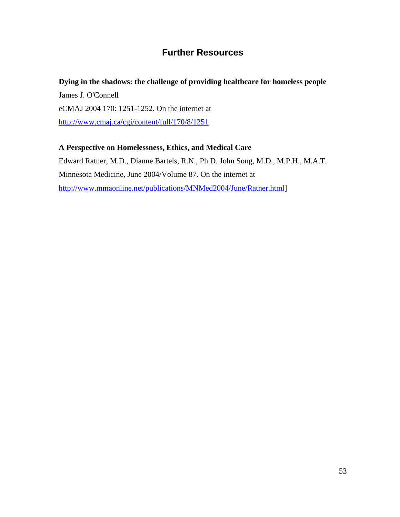## **Further Resources**

#### **Dying in the shadows: the challenge of providing healthcare for homeless people**

James J. O'Connell eCMAJ 2004 170: 1251-1252. On the internet at http://www.cmaj.ca/cgi/content/full/170/8/1251

#### **A Perspective on Homelessness, Ethics, and Medical Care**

Edward Ratner, M.D., Dianne Bartels, R.N., Ph.D. John Song, M.D., M.P.H., M.A.T. Minnesota Medicine, June 2004/Volume 87. On the internet at http://www.mmaonline.net/publications/MNMed2004/June/Ratner.html]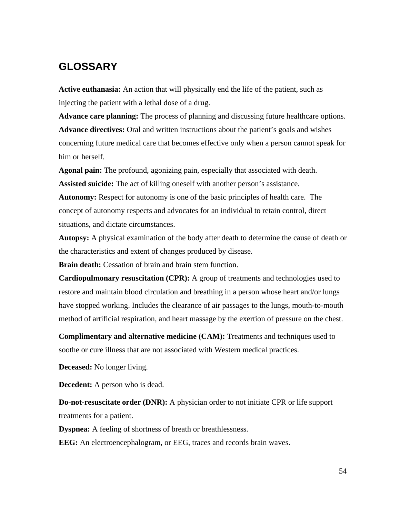## **GLOSSARY**

**Active euthanasia:** An action that will physically end the life of the patient, such as injecting the patient with a lethal dose of a drug.

**Advance care planning:** The process of planning and discussing future healthcare options. **Advance directives:** Oral and written instructions about the patient's goals and wishes concerning future medical care that becomes effective only when a person cannot speak for him or herself.

**Agonal pain:** The profound, agonizing pain, especially that associated with death. **Assisted suicide:** The act of killing oneself with another person's assistance.

**Autonomy:** Respect for autonomy is one of the basic principles of health care. The concept of autonomy respects and advocates for an individual to retain control, direct situations, and dictate circumstances.

**Autopsy:** A physical examination of the body after death to determine the cause of death or the characteristics and extent of changes produced by disease.

**Brain death:** Cessation of brain and brain stem function.

**Cardiopulmonary resuscitation (CPR):** A group of treatments and technologies used to restore and maintain blood circulation and breathing in a person whose heart and/or lungs have stopped working. Includes the clearance of air passages to the lungs, mouth-to-mouth method of artificial respiration, and heart massage by the exertion of pressure on the chest.

**Complimentary and alternative medicine (CAM):** Treatments and techniques used to soothe or cure illness that are not associated with Western medical practices.

**Deceased:** No longer living.

**Decedent:** A person who is dead.

**Do-not-resuscitate order (DNR):** A physician order to not initiate CPR or life support treatments for a patient.

**Dyspnea:** A feeling of shortness of breath or breathlessness.

**EEG:** An electroencephalogram, or EEG, traces and records brain waves.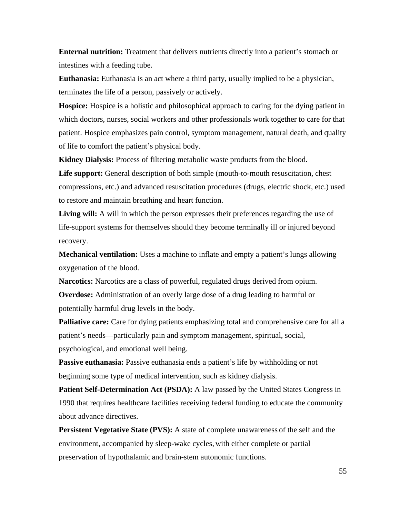**Enternal nutrition:** Treatment that delivers nutrients directly into a patient's stomach or intestines with a feeding tube.

**Euthanasia:** Euthanasia is an act where a third party, usually implied to be a physician, terminates the life of a person, passively or actively.

**Hospice:** Hospice is a holistic and philosophical approach to caring for the dying patient in which doctors, nurses, social workers and other professionals work together to care for that patient. Hospice emphasizes pain control, symptom management, natural death, and quality of life to comfort the patient's physical body.

**Kidney Dialysis:** Process of filtering metabolic waste products from the blood.

Life support: General description of both simple (mouth-to-mouth resuscitation, chest compressions, etc.) and advanced resuscitation procedures (drugs, electric shock, etc.) used to restore and maintain breathing and heart function.

**Living will:** A will in which the person expresses their preferences regarding the use of life-support systems for themselves should they become terminally ill or injured beyond recovery.

**Mechanical ventilation:** Uses a machine to inflate and empty a patient's lungs allowing oxygenation of the blood.

**Narcotics:** Narcotics are a class of powerful, regulated drugs derived from opium. **Overdose:** Administration of an overly large dose of a drug leading to harmful or potentially harmful drug levels in the body.

**Palliative care:** Care for dying patients emphasizing total and comprehensive care for all a patient's needs—particularly pain and symptom management, spiritual, social, psychological, and emotional well being.

**Passive euthanasia:** Passive euthanasia ends a patient's life by withholding or not beginning some type of medical intervention, such as kidney dialysis.

**Patient Self-Determination Act (PSDA):** A law passed by the United States Congress in 1990 that requires healthcare facilities receiving federal funding to educate the community about advance directives.

**Persistent Vegetative State (PVS):** A state of complete unawareness of the self and the environment, accompanied by sleep-wake cycles, with either complete or partial preservation of hypothalamic and brain-stem autonomic functions.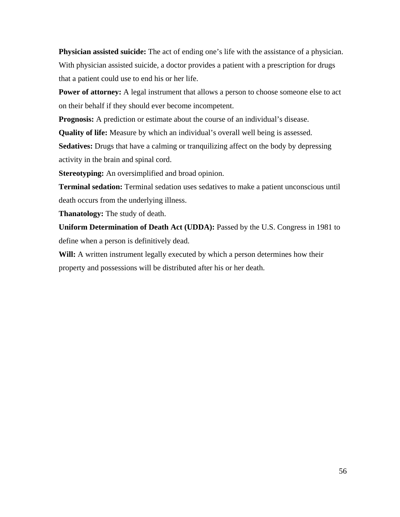**Physician assisted suicide:** The act of ending one's life with the assistance of a physician. With physician assisted suicide, a doctor provides a patient with a prescription for drugs that a patient could use to end his or her life.

**Power of attorney:** A legal instrument that allows a person to choose someone else to act on their behalf if they should ever become incompetent.

**Prognosis:** A prediction or estimate about the course of an individual's disease.

**Quality of life:** Measure by which an individual's overall well being is assessed.

**Sedatives:** Drugs that have a calming or tranquilizing affect on the body by depressing activity in the brain and spinal cord.

**Stereotyping:** An oversimplified and broad opinion.

**Terminal sedation:** Terminal sedation uses sedatives to make a patient unconscious until death occurs from the underlying illness.

**Thanatology:** The study of death.

**Uniform Determination of Death Act (UDDA):** Passed by the U.S. Congress in 1981 to define when a person is definitively dead.

**Will:** A written instrument legally executed by which a person determines how their property and possessions will be distributed after his or her death.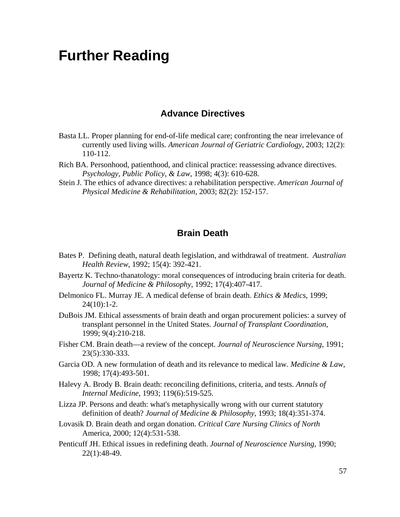# **Further Reading**

#### **Advance Directives**

- Basta LL. Proper planning for end-of-life medical care; confronting the near irrelevance of currently used living wills. *American Journal of Geriatric Cardiology*, 2003; 12(2): 110-112.
- Rich BA. Personhood, patienthood, and clinical practice: reassessing advance directives. *Psychology, Public Policy, & Law*, 1998; 4(3): 610-628.
- Stein J. The ethics of advance directives: a rehabilitation perspective. *American Journal of Physical Medicine & Rehabilitation*, 2003; 82(2): 152-157.

#### **Brain Death**

- Bates P. Defining death, natural death legislation, and withdrawal of treatment. *Australian Health Review*, 1992; 15(4): 392-421.
- Bayertz K. Techno-thanatology: moral consequences of introducing brain criteria for death. *Journal of Medicine & Philosophy*, 1992; 17(4):407-417.
- Delmonico FL. Murray JE. A medical defense of brain death. *Ethics & Medics*, 1999;  $24(10):1-2.$
- DuBois JM. Ethical assessments of brain death and organ procurement policies: a survey of transplant personnel in the United States. *Journal of Transplant Coordination*, 1999; 9(4):210-218.
- Fisher CM. Brain death—a review of the concept. *Journal of Neuroscience Nursing*, 1991; 23(5):330-333.
- Garcia OD. A new formulation of death and its relevance to medical law. *Medicine & Law*, 1998; 17(4):493-501.
- Halevy A. Brody B. Brain death: reconciling definitions, criteria, and tests. *Annals of Internal Medicine*, 1993; 119(6):519-525.
- Lizza JP. Persons and death: what's metaphysically wrong with our current statutory definition of death? *Journal of Medicine & Philosophy*, 1993; 18(4):351-374.
- Lovasik D. Brain death and organ donation. *Critical Care Nursing Clinics of North* America, 2000; 12(4):531-538.
- Penticuff JH. Ethical issues in redefining death. *Journal of Neuroscience Nursing*, 1990; 22(1):48-49.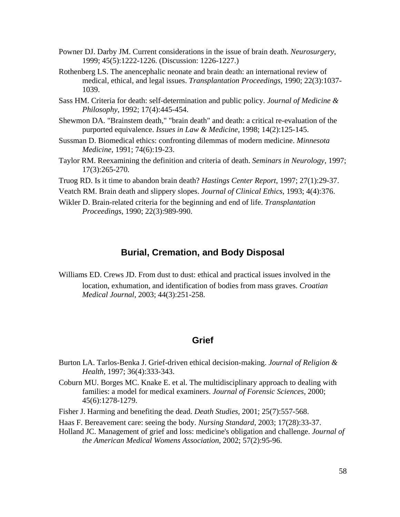- Powner DJ. Darby JM. Current considerations in the issue of brain death. *Neurosurgery*, 1999; 45(5):1222-1226. (Discussion: 1226-1227.)
- Rothenberg LS. The anencephalic neonate and brain death: an international review of medical, ethical, and legal issues. *Transplantation Proceedings*, 1990; 22(3):1037- 1039.
- Sass HM. Criteria for death: self-determination and public policy. *Journal of Medicine & Philosophy*, 1992; 17(4):445-454.
- Shewmon DA. "Brainstem death," "brain death" and death: a critical re-evaluation of the purported equivalence. *Issues in Law & Medicine*, 1998; 14(2):125-145.
- Sussman D. Biomedical ethics: confronting dilemmas of modern medicine. *Minnesota Medicine*, 1991; 74(6):19-23.
- Taylor RM. Reexamining the definition and criteria of death. *Seminars in Neurology*, 1997; 17(3):265-270.
- Truog RD. Is it time to abandon brain death? *Hastings Center Report*, 1997; 27(1):29-37.

Veatch RM. Brain death and slippery slopes. *Journal of Clinical Ethics*, 1993; 4(4):376.

Wikler D. Brain-related criteria for the beginning and end of life. *Transplantation Proceedings*, 1990; 22(3):989-990.

#### **Burial, Cremation, and Body Disposal**

Williams ED. Crews JD. From dust to dust: ethical and practical issues involved in the location, exhumation, and identification of bodies from mass graves. *Croatian Medical Journal*, 2003; 44(3):251-258.

#### **Grief**

- Burton LA. Tarlos-Benka J. Grief-driven ethical decision-making. *Journal of Religion & Health*, 1997; 36(4):333-343.
- Coburn MU. Borges MC. Knake E. et al. The multidisciplinary approach to dealing with families: a model for medical examiners. *Journal of Forensic Sciences*, 2000; 45(6):1278-1279.
- Fisher J. Harming and benefiting the dead. *Death Studies,* 2001; 25(7):557-568.
- Haas F. Bereavement care: seeing the body. *Nursing Standard*, 2003; 17(28):33-37.
- Holland JC. Management of grief and loss: medicine's obligation and challenge. *Journal of the American Medical Womens Association*, 2002; 57(2):95-96.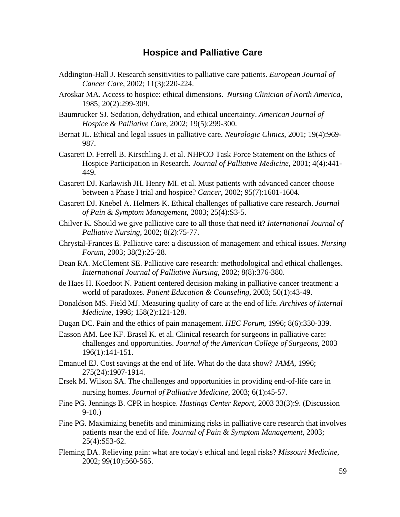#### **Hospice and Palliative Care**

- Addington-Hall J. Research sensitivities to palliative care patients. *European Journal of Cancer Care*, 2002; 11(3):220-224.
- Aroskar MA. Access to hospice: ethical dimensions. *Nursing Clinician of North America*, 1985; 20(2):299-309.
- Baumrucker SJ. Sedation, dehydration, and ethical uncertainty. *American Journal of Hospice & Palliative Care*, 2002; 19(5):299-300.
- Bernat JL. Ethical and legal issues in palliative care. *Neurologic Clinics*, 2001; 19(4):969- 987.
- Casarett D. Ferrell B. Kirschling J. et al. NHPCO Task Force Statement on the Ethics of Hospice Participation in Research. *Journal of Palliative Medicine*, 2001; 4(4):441- 449.
- Casarett DJ. Karlawish JH. Henry MI. et al. Must patients with advanced cancer choose between a Phase I trial and hospice? *Cancer*, 2002; 95(7):1601-1604.
- Casarett DJ. Knebel A. Helmers K. Ethical challenges of palliative care research. *Journal of Pain & Symptom Management*, 2003; 25(4):S3-5.
- Chilver K. Should we give palliative care to all those that need it? *International Journal of Palliative Nursing*, 2002; 8(2):75-77.
- Chrystal-Frances E. Palliative care: a discussion of management and ethical issues. *Nursing Forum*, 2003; 38(2):25-28.
- Dean RA. McClement SE. Palliative care research: methodological and ethical challenges. *International Journal of Palliative Nursing*, 2002; 8(8):376-380.
- de Haes H. Koedoot N. Patient centered decision making in palliative cancer treatment: a world of paradoxes. *Patient Education & Counseling*, 2003; 50(1):43-49.
- Donaldson MS. Field MJ. Measuring quality of care at the end of life. *Archives of Internal Medicine*, 1998; 158(2):121-128.
- Dugan DC. Pain and the ethics of pain management. *HEC Forum*, 1996; 8(6):330-339.
- Easson AM. Lee KF. Brasel K. et al. Clinical research for surgeons in palliative care: challenges and opportunities. *Journal of the American College of Surgeons*, 2003 196(1):141-151.
- Emanuel EJ. Cost savings at the end of life. What do the data show? *JAMA*, 1996; 275(24):1907-1914.
- Ersek M. Wilson SA. The challenges and opportunities in providing end-of-life care in nursing homes. *Journal of Palliative Medicine*, 2003; 6(1):45-57.
- Fine PG. Jennings B. CPR in hospice. *Hastings Center Report*, 2003 33(3):9. (Discussion 9-10.)
- Fine PG. Maximizing benefits and minimizing risks in palliative care research that involves patients near the end of life. *Journal of Pain & Symptom Management*, 2003; 25(4):S53-62.
- Fleming DA. Relieving pain: what are today's ethical and legal risks? *Missouri Medicine*, 2002; 99(10):560-565.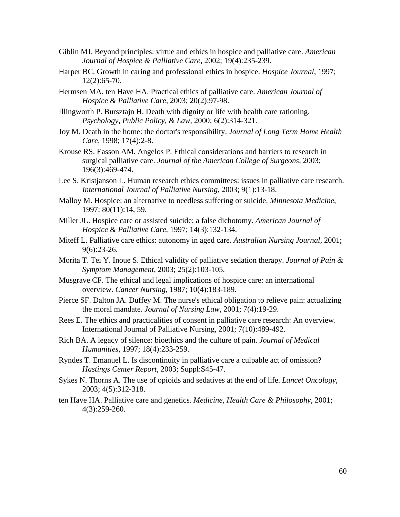- Giblin MJ. Beyond principles: virtue and ethics in hospice and palliative care. *American Journal of Hospice & Palliative Care*, 2002; 19(4):235-239.
- Harper BC. Growth in caring and professional ethics in hospice. *Hospice Journal*, 1997; 12(2):65-70.
- Hermsen MA. ten Have HA. Practical ethics of palliative care. *American Journal of Hospice & Palliative Care,* 2003; 20(2):97-98.
- Illingworth P. Bursztajn H. Death with dignity or life with health care rationing. *Psychology, Public Policy, & Law*, 2000; 6(2):314-321.
- Joy M. Death in the home: the doctor's responsibility. *Journal of Long Term Home Health Care*, 1998; 17(4):2-8.
- Krouse RS. Easson AM. Angelos P. Ethical considerations and barriers to research in surgical palliative care. *Journal of the American College of Surgeons*, 2003; 196(3):469-474.
- Lee S. Kristjanson L. Human research ethics committees: issues in palliative care research. *International Journal of Palliative Nursing*, 2003; 9(1):13-18.
- Malloy M. Hospice: an alternative to needless suffering or suicide. *Minnesota Medicine*, 1997; 80(11):14, 59.
- Miller JL. Hospice care or assisted suicide: a false dichotomy. *American Journal of Hospice & Palliative Care*, 1997; 14(3):132-134.
- Miteff L. Palliative care ethics: autonomy in aged care. *Australian Nursing Journal*, 2001; 9(6):23-26.
- Morita T. Tei Y. Inoue S. Ethical validity of palliative sedation therapy. *Journal of Pain & Symptom Management*, 2003; 25(2):103-105.
- Musgrave CF. The ethical and legal implications of hospice care: an international overview. *Cancer Nursing*, 1987; 10(4):183-189.
- Pierce SF. Dalton JA. Duffey M. The nurse's ethical obligation to relieve pain: actualizing the moral mandate. *Journal of Nursing Law*, 2001; 7(4):19-29.
- Rees E. The ethics and practicalities of consent in palliative care research: An overview. International Journal of Palliative Nursing, 2001; 7(10):489-492.
- Rich BA. A legacy of silence: bioethics and the culture of pain. *Journal of Medical Humanities*, 1997; 18(4):233-259.
- Ryndes T. Emanuel L. Is discontinuity in palliative care a culpable act of omission? *Hastings Center Report*, 2003; Suppl:S45-47.
- Sykes N. Thorns A. The use of opioids and sedatives at the end of life. *Lancet Oncology*, 2003; 4(5):312-318.
- ten Have HA. Palliative care and genetics. *Medicine, Health Care & Philosophy*, 2001; 4(3):259-260.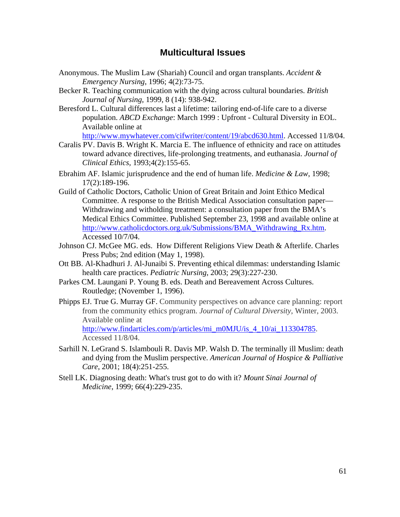#### **Multicultural Issues**

- Anonymous. The Muslim Law (Shariah) Council and organ transplants. *Accident & Emergency Nursing*, 1996; 4(2):73-75.
- Becker R. Teaching communication with the dying across cultural boundaries. *British Journal of Nursing*, 1999, 8 (14): 938-942.
- Beresford L. Cultural differences last a lifetime: tailoring end-of-life care to a diverse population. *ABCD Exchange*: March 1999 : Upfront - Cultural Diversity in EOL. Available online at

http://www.mywhatever.com/cifwriter/content/19/abcd630.html. Accessed 11/8/04.

- Caralis PV. Davis B. Wright K. Marcia E. The influence of ethnicity and race on attitudes toward advance directives, life-prolonging treatments, and euthanasia. *Journal of Clinical Ethics,* 1993;4(2):155-65.
- Ebrahim AF. Islamic jurisprudence and the end of human life. *Medicine & Law*, 1998; 17(2):189-196.
- Guild of Catholic Doctors, Catholic Union of Great Britain and Joint Ethico Medical Committee. A response to the British Medical Association consultation paper— Withdrawing and witholding treatment: a consultation paper from the BMA's Medical Ethics Committee. Published September 23, 1998 and available online at http://www.catholicdoctors.org.uk/Submissions/BMA\_Withdrawing\_Rx.htm. Accessed 10/7/04.
- Johnson CJ. McGee MG. eds. How Different Religions View Death & Afterlife. Charles Press Pubs; 2nd edition (May 1, 1998).
- Ott BB. Al-Khadhuri J. Al-Junaibi S. Preventing ethical dilemmas: understanding Islamic health care practices. *Pediatric Nursing*, 2003; 29(3):227-230.
- Parkes CM. Laungani P. Young B. eds. Death and Bereavement Across Cultures. Routledge; (November 1, 1996).
- Phipps EJ. True G. Murray GF. Community perspectives on advance care planning: report from the community ethics program. *Journal of Cultural Diversity*, Winter, 2003. Available online at http://www.findarticles.com/p/articles/mi\_m0MJU/is\_4\_10/ai\_113304785. Accessed 11/8/04.
- Sarhill N. LeGrand S. Islambouli R. Davis MP. Walsh D. The terminally ill Muslim: death and dying from the Muslim perspective. *American Journal of Hospice & Palliative Care*, 2001; 18(4):251-255.
- Stell LK. Diagnosing death: What's trust got to do with it? *Mount Sinai Journal of Medicine*, 1999; 66(4):229-235.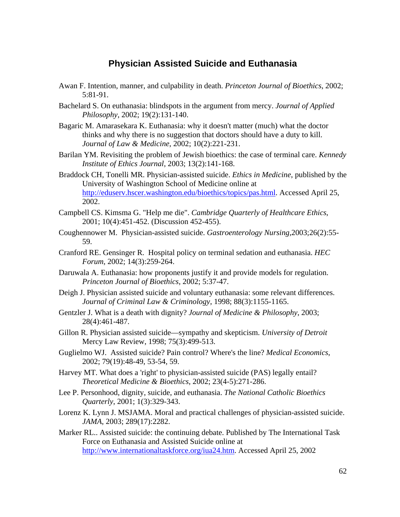#### **Physician Assisted Suicide and Euthanasia**

- Awan F. Intention, manner, and culpability in death. *Princeton Journal of Bioethics*, 2002; 5:81-91.
- Bachelard S. On euthanasia: blindspots in the argument from mercy. *Journal of Applied Philosophy*, 2002; 19(2):131-140.
- Bagaric M. Amarasekara K. Euthanasia: why it doesn't matter (much) what the doctor thinks and why there is no suggestion that doctors should have a duty to kill. *Journal of Law & Medicine*, 2002; 10(2):221-231.
- Barilan YM. Revisiting the problem of Jewish bioethics: the case of terminal care. *Kennedy Institute of Ethics Journal*, 2003; 13(2):141-168.
- Braddock CH, Tonelli MR. Physician-assisted suicide. *Ethics in Medicine*, published by the University of Washington School of Medicine online at http://eduserv.hscer.washington.edu/bioethics/topics/pas.html. Accessed April 25, 2002.
- Campbell CS. Kimsma G. "Help me die". *Cambridge Quarterly of Healthcare Ethics*, 2001; 10(4):451-452. (Discussion 452-455).
- Coughennower M. Physician-assisted suicide. *Gastroenterology Nursing*,2003;26(2):55- 59.
- Cranford RE. Gensinger R. Hospital policy on terminal sedation and euthanasia. *HEC Forum*, 2002; 14(3):259-264.
- Daruwala A. Euthanasia: how proponents justify it and provide models for regulation. *Princeton Journal of Bioethics*, 2002; 5:37-47.
- Deigh J. Physician assisted suicide and voluntary euthanasia: some relevant differences. *Journal of Criminal Law & Criminology*, 1998; 88(3):1155-1165.
- Gentzler J. What is a death with dignity? *Journal of Medicine & Philosophy*, 2003; 28(4):461-487.
- Gillon R. Physician assisted suicide—sympathy and skepticism. *University of Detroit* Mercy Law Review, 1998; 75(3):499-513.
- Guglielmo WJ. Assisted suicide? Pain control? Where's the line? *Medical Economics*, 2002; 79(19):48-49, 53-54, 59.
- Harvey MT. What does a 'right' to physician-assisted suicide (PAS) legally entail? *Theoretical Medicine & Bioethics*, 2002; 23(4-5):271-286.
- Lee P. Personhood, dignity, suicide, and euthanasia. *The National Catholic Bioethics Quarterly*, 2001; 1(3):329-343.
- Lorenz K. Lynn J. MSJAMA. Moral and practical challenges of physician-assisted suicide. *JAMA*, 2003; 289(17):2282.
- Marker RL.. Assisted suicide: the continuing debate. Published by The International Task Force on Euthanasia and Assisted Suicide online at http://www.internationaltaskforce.org/iua24.htm. Accessed April 25, 2002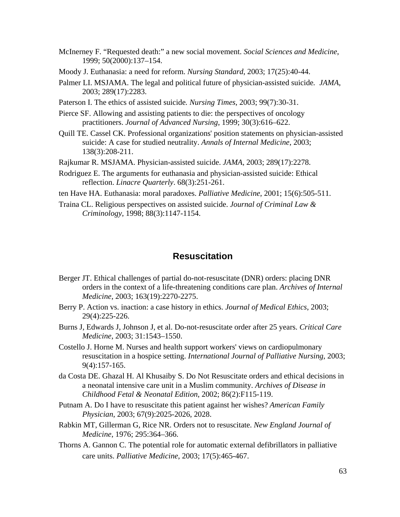- McInerney F. "Requested death:" a new social movement. *Social Sciences and Medicine*, 1999; 50(2000):137–154.
- Moody J. Euthanasia: a need for reform. *Nursing Standard*, 2003; 17(25):40-44.
- Palmer LI. MSJAMA. The legal and political future of physician-assisted suicide*. JAMA*, 2003; 289(17):2283.
- Paterson I. The ethics of assisted suicide*. Nursing Times*, 2003; 99(7):30-31.
- Pierce SF. Allowing and assisting patients to die: the perspectives of oncology practitioners. *Journal of Advanced Nursing*, 1999; 30(3):616–622.
- Quill TE. Cassel CK. Professional organizations' position statements on physician-assisted suicide: A case for studied neutrality. *Annals of Internal Medicine*, 2003; 138(3):208-211.
- Rajkumar R. MSJAMA. Physician-assisted suicide. *JAMA*, 2003; 289(17):2278.
- Rodriguez E. The arguments for euthanasia and physician-assisted suicide: Ethical reflection. *Linacre Quarterly*. 68(3):251-261.
- ten Have HA. Euthanasia: moral paradoxes. *Palliative Medicine*, 2001; 15(6):505-511.
- Traina CL. Religious perspectives on assisted suicide. *Journal of Criminal Law & Criminology*, 1998; 88(3):1147-1154.

#### **Resuscitation**

- Berger JT. Ethical challenges of partial do-not-resuscitate (DNR) orders: placing DNR orders in the context of a life-threatening conditions care plan. *Archives of Internal Medicine*, 2003; 163(19):2270-2275.
- Berry P. Action vs. inaction: a case history in ethics. *Journal of Medical Ethics*, 2003; 29(4):225-226.
- Burns J, Edwards J, Johnson J, et al. Do-not-resuscitate order after 25 years. *Critical Care Medicine*, 2003; 31:1543–1550.
- Costello J. Horne M. Nurses and health support workers' views on cardiopulmonary resuscitation in a hospice setting. *International Journal of Palliative Nursing*, 2003; 9(4):157-165.
- da Costa DE. Ghazal H. Al Khusaiby S. Do Not Resuscitate orders and ethical decisions in a neonatal intensive care unit in a Muslim community. *Archives of Disease in Childhood Fetal & Neonatal Edition*, 2002; 86(2):F115-119.
- Putnam A. Do I have to resuscitate this patient against her wishes? *American Family Physician*, 2003; 67(9):2025-2026, 2028.
- Rabkin MT, Gillerman G, Rice NR. Orders not to resuscitate. *New England Journal of Medicine*, 1976; 295:364–366.
- Thorns A. Gannon C. The potential role for automatic external defibrillators in palliative care units. *Palliative Medicine*, 2003; 17(5):465-467.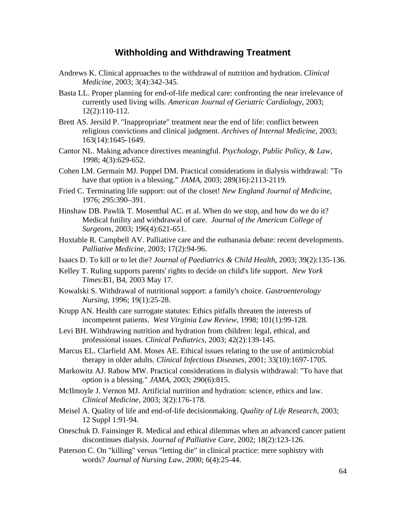#### **Withholding and Withdrawing Treatment**

- Andrews K. Clinical approaches to the withdrawal of nutrition and hydration. *Clinical Medicine*, 2003; 3(4):342-345.
- Basta LL. Proper planning for end-of-life medical care: confronting the near irrelevance of currently used living wills. *American Journal of Geriatric Cardiology*, 2003; 12(2):110-112.
- Brett AS. Jersild P. "Inappropriate" treatment near the end of life: conflict between religious convictions and clinical judgment. *Archives of Internal Medicine*, 2003; 163(14):1645-1649.
- Cantor NL. Making advance directives meaningful. *Psychology, Public Policy, & Law*, 1998; 4(3):629-652.
- Cohen LM. Germain MJ. Poppel DM. Practical considerations in dialysis withdrawal: "To have that option is a blessing." *JAMA*, 2003; 289(16):2113-2119.
- Fried C. Terminating life support: out of the closet! *New England Journal of Medicine*, 1976; 295:390–391.
- Hinshaw DB. Pawlik T. Mosenthal AC. et al. When do we stop, and how do we do it? Medical futility and withdrawal of care. *Journal of the American College of Surgeons*, 2003; 196(4):621-651.
- Huxtable R. Campbell AV. Palliative care and the euthanasia debate: recent developments. *Palliative Medicine*, 2003; 17(2):94-96.
- Isaacs D. To kill or to let die? *Journal of Paediatrics & Child Health*, 2003; 39(2):135-136.
- Kelley T. Ruling supports parents' rights to decide on child's life support. *New York Times*:B1, B4, 2003 May 17.
- Kowalski S. Withdrawal of nutritional support: a family's choice. *Gastroenterology Nursing*, 1996; 19(1):25-28.
- Krupp AN. Health care surrogate statutes: Ethics pitfalls threaten the interests of incompetent patients. *West Virginia Law Review*, 1998; 101(1):99-128.
- Levi BH. Withdrawing nutrition and hydration from children: legal, ethical, and professional issues. *Clinical Pediatrics*, 2003; 42(2):139-145.
- Marcus EL. Clarfield AM. Moses AE. Ethical issues relating to the use of antimicrobial therapy in older adults. *Clinical Infectious Diseases*, 2001; 33(10):1697-1705.
- Markowitz AJ. Rabow MW. Practical considerations in dialysis withdrawal: "To have that option is a blessing." *JAMA*, 2003; 290(6):815.
- McIlmoyle J. Vernon MJ. Artificial nutrition and hydration: science, ethics and law. *Clinical Medicine*, 2003; 3(2):176-178.
- Meisel A. Quality of life and end-of-life decisionmaking. *Quality of Life Research*, 2003; 12 Suppl 1:91-94.
- Oneschuk D. Fainsinger R. Medical and ethical dilemmas when an advanced cancer patient discontinues dialysis. *Journal of Palliative Care*, 2002; 18(2):123-126.
- Paterson C. On "killing" versus "letting die" in clinical practice: mere sophistry with words? *Journal of Nursing Law*, 2000; 6(4):25-44.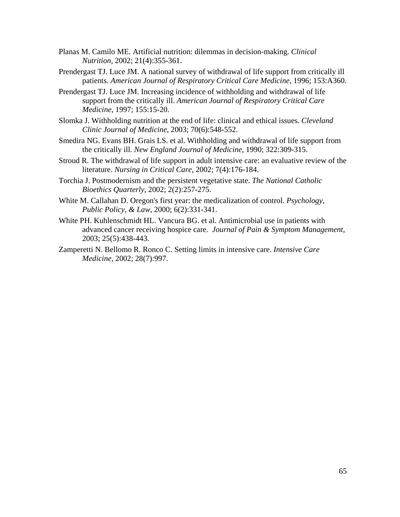- Planas M. Camilo ME. Artificial nutrition: dilemmas in decision-making. *Clinical Nutrition*, 2002; 21(4):355-361.
- Prendergast TJ. Luce JM. A national survey of withdrawal of life support from critically ill patients. *American Journal of Respiratory Critical Care Medicine*, 1996; 153:A360.
- Prendergast TJ. Luce JM. Increasing incidence of withholding and withdrawal of life support from the critically ill. *American Journal of Respiratory Critical Care Medicine*, 1997; 155:15-20.
- Slomka J. Withholding nutrition at the end of life: clinical and ethical issues. *Cleveland Clinic Journal of Medicine*, 2003; 70(6):548-552.
- Smedira NG. Evans BH. Grais LS. et al. Withholding and withdrawal of life support from the critically ill. *New England Journal of Medicine,* 1990; 322:309-315.
- Stroud R. The withdrawal of life support in adult intensive care: an evaluative review of the literature. *Nursing in Critical Care*, 2002; 7(4):176-184.
- Torchia J. Postmodernism and the persistent vegetative state. *The National Catholic Bioethics Quarterly*, 2002; 2(2):257-275.
- White M. Callahan D. Oregon's first year: the medicalization of control. *Psychology, Public Policy, & Law*, 2000; 6(2):331-341.
- White PH. Kuhlenschmidt HL. Vancura BG. et al. Antimicrobial use in patients with advanced cancer receiving hospice care. *Journal of Pain & Symptom Management,* 2003; 25(5):438-443.
- Zamperetti N. Bellomo R. Ronco C. Setting limits in intensive care. *Intensive Care Medicine*, 2002; 28(7):997.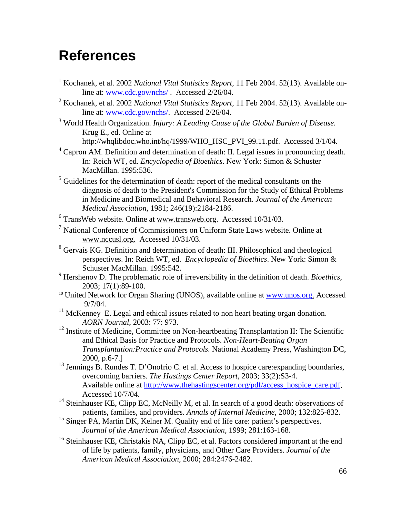# **References**

 $\overline{a}$ 

- <sup>1</sup> Kochanek, et al. 2002 *National Vital Statistics Report*, 11 Feb 2004. 52(13). Available online at: www.cdc.gov/nchs/ . Accessed 2/26/04.
- 2 Kochanek, et al. 2002 *National Vital Statistics Report,* 11 Feb 2004. 52(13). Available online at: www.cdc.gov/nchs/. Accessed 2/26/04.
- 3 World Health Organization. *Injury: A Leading Cause of the Global Burden of Disease.* Krug E., ed. Online at http://whqlibdoc.who.int/hq/1999/WHO\_HSC\_PVI\_99.11.pdf. Accessed 3/1/04.
- $4$  Capron AM. Definition and determination of death: II. Legal issues in pronouncing death. In: Reich WT, ed. *Encyclopedia of Bioethics*. New York: Simon & Schuster MacMillan. 1995:536.
- <sup>5</sup> Guidelines for the determination of death: report of the medical consultants on the diagnosis of death to the President's Commission for the Study of Ethical Problems in Medicine and Biomedical and Behavioral Research. *Journal of the American Medical Association,* 1981; 246(19):2184-2186.
- $6$  TransWeb website. Online at www.transweb.org. Accessed 10/31/03.
- <sup>7</sup> National Conference of Commissioners on Uniform State Laws website. Online at www.nccusl.org. Accessed 10/31/03.
- <sup>8</sup> Gervais KG. Definition and determination of death: III. Philosophical and theological perspectives. In: Reich WT, ed. *Encyclopedia of Bioethics*. New York: Simon & Schuster MacMillan. 1995:542.
- 9 Hershenov D. The problematic role of irreversibility in the definition of death. *Bioethics*, 2003; 17(1):89-100.<br><sup>10</sup> United Network for Organ Sharing (UNOS), available online at www.unos.org. Accessed
- 9/7/04.
- $11$  McKenney E. Legal and ethical issues related to non heart beating organ donation. *AORN Journal*, 2003: 77: 973.
- <sup>12</sup> Institute of Medicine, Committee on Non-heartbeating Transplantation II: The Scientific and Ethical Basis for Practice and Protocols. *Non-Heart-Beating Organ Transplantation:Practice and Protocols.* National Academy Press, Washington DC, 2000, p.6-7.]
- <sup>13</sup> Jennings B. Rundes T. D'Onofrio C. et al. Access to hospice care: expanding boundaries, overcoming barriers. *The Hastings Center Report,* 2003; 33(2):S3-4. Available online at http://www.thehastingscenter.org/pdf/access\_hospice\_care.pdf. Accessed 10/7/04.
- <sup>14</sup> Steinhauser KE, Clipp EC, McNeilly M, et al. In search of a good death: observations of patients, families, and providers. *Annals of Internal Medicine*, 2000; 132:825-832.
- <sup>15</sup> Singer PA, Martin DK, Kelner M. Quality end of life care: patient's perspectives. *Journal of the American Medical Association,* 1999; 281:163-168.
- <sup>16</sup> Steinhauser KE, Christakis NA, Clipp EC, et al. Factors considered important at the end of life by patients, family, physicians, and Other Care Providers. *Journal of the American Medical Association,* 2000; 284:2476-2482.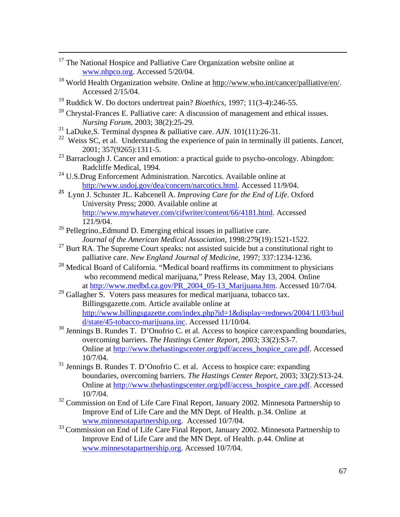- <sup>17</sup> The National Hospice and Palliative Care Organization website online at www.nhpco.org. Accessed 5/20/04.
- <sup>18</sup> World Health Organization website. Online at http://www.who.int/cancer/palliative/en/. Accessed 2/15/04.
- 19 Ruddick W. Do doctors undertreat pain? *Bioethics,* 1997; 11(3-4):246-55.
- $20$  Chrystal-Frances E. Palliative care: A discussion of management and ethical issues. *Nursing Forum*, 2003; 38(2):25-29.
- 21 LaDuke,S. Terminal dyspnea & palliative care. *AJN*. 101(11):26-31.
- 22 Weiss SC, et al. Understanding the experience of pain in terminally ill patients. *Lancet*, 2001; 357(9265):1311-5.
- <sup>23</sup> Barraclough J. Cancer and emotion: a practical guide to psycho-oncology. Abingdon: Radcliffe Medical, 1994.
- <sup>24</sup> U.S.Drug Enforcement Administration. Narcotics. Available online at http://www.usdoj.gov/dea/concern/narcotics.html. Accessed 11/9/04.
- **25** Lynn J. Schuster JL. Kabcenell A. *Improving Care for the End of Life*. Oxford University Press; 2000. Available online at http://www.mywhatever.com/cifwriter/content/66/4181.html. Accessed 121/9/04.
- <sup>26</sup> Pellegrino., Edmund D. Emerging ethical issues in palliative care.
- *Journal of the American Medical Association*, 1998:279(19):1521-1522.<br><sup>27</sup> Burt RA. The Supreme Court speaks: not assisted suicide but a constitutional right to palliative care. *New England Journal of Medicine,* 1997; 337:1234-1236.
- <sup>28</sup> Medical Board of California. "Medical board reaffirms its commitment to physicians who recommend medical marijuana," Press Release, May 13, 2004. Online at http://www.medbd.ca.gov/PR\_2004\_05-13\_Marijuana.htm. Accessed 10/7/04.
- <sup>29</sup> Gallagher S. Voters pass measures for medical marijuana, tobacco tax. Billingsgazette.com. Article available online at http://www.billingsgazette.com/index.php?id=1&display=rednews/2004/11/03/buil d/state/45-tobacco-marijuana.inc. Accessed 11/10/04.
- <sup>30</sup> Jennings B. Rundes T. D'Onofrio C. et al. Access to hospice care: expanding boundaries, overcoming barriers. *The Hastings Center Report,* 2003; 33(2):S3-7. Online at http://www.thehastingscenter.org/pdf/access\_hospice\_care.pdf. Accessed 10/7/04.
- 31 Jennings B. Rundes T. D'Onofrio C. et al. Access to hospice care: expanding boundaries, overcoming barriers. *The Hastings Center Report*, 2003; 33(2):S13-24. Online at http://www.thehastingscenter.org/pdf/access\_hospice\_care.pdf. Accessed 10/7/04.
- <sup>32</sup> Commission on End of Life Care Final Report, January 2002. Minnesota Partnership to Improve End of Life Care and the MN Dept. of Health. p.34. Online at www.minnesotapartnership.org. Accessed 10/7/04.
- <sup>33</sup> Commission on End of Life Care Final Report, January 2002. Minnesota Partnership to Improve End of Life Care and the MN Dept. of Health. p.44. Online at www.minnesotapartnership.org. Accessed 10/7/04.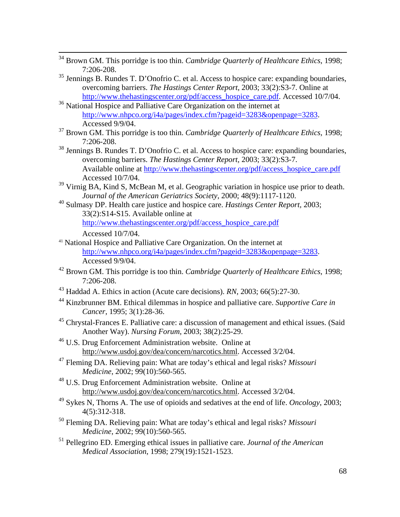- 34 Brown GM. This porridge is too thin. *Cambridge Quarterly of Healthcare Ethics*, 1998; 7:206-208.
- 35 Jennings B. Rundes T. D'Onofrio C. et al. Access to hospice care: expanding boundaries, overcoming barriers. *The Hastings Center Report*, 2003; 33(2):S3-7. Online at http://www.thehastingscenter.org/pdf/access\_hospice\_care.pdf. Accessed 10/7/04.
- <sup>36</sup> National Hospice and Palliative Care Organization on the internet at http://www.nhpco.org/i4a/pages/index.cfm?pageid=3283&openpage=3283. Accessed 9/9/04.
- 37 Brown GM. This porridge is too thin. *Cambridge Quarterly of Healthcare Ethics,* 1998; 7:206-208.
- 38 Jennings B. Rundes T. D'Onofrio C. et al. Access to hospice care: expanding boundaries, overcoming barriers. *The Hastings Center Report,* 2003; 33(2):S3-7. Available online at http://www.thehastingscenter.org/pdf/access\_hospice\_care.pdf Accessed 10/7/04.
- <sup>39</sup> Virnig BA, Kind S, McBean M, et al. Geographic variation in hospice use prior to death. *Journal of the American Geriatrics Society*, 2000; 48(9):1117-1120.
- 40 Sulmasy DP. Health care justice and hospice care. *Hastings Center Report,* 2003; 33(2):S14-S15. Available online at http://www.thehastingscenter.org/pdf/access\_hospice\_care.pdf

Accessed 10/7/04.

- <sup>41</sup> National Hospice and Palliative Care Organization. On the internet at http://www.nhpco.org/i4a/pages/index.cfm?pageid=3283&openpage=3283. Accessed 9/9/04.
- 42 Brown GM. This porridge is too thin. *Cambridge Quarterly of Healthcare Ethics*, 1998; 7:206-208.
- 43 Haddad A. Ethics in action (Acute care decisions). *RN*, 2003; 66(5):27-30.
- 44 Kinzbrunner BM. Ethical dilemmas in hospice and palliative care. *Supportive Care in Cancer*, 1995; 3(1):28-36.
- <sup>45</sup> Chrystal-Frances E. Palliative care: a discussion of management and ethical issues. (Said Another Way). *Nursing Forum*, 2003; 38(2):25-29.
- 46 U.S. Drug Enforcement Administration website. Online at http://www.usdoj.gov/dea/concern/narcotics.html. Accessed 3/2/04.
- 47 Fleming DA. Relieving pain: What are today's ethical and legal risks? *Missouri Medicine*, 2002; 99(10):560-565.
- 48 U.S. Drug Enforcement Administration website. Online at http://www.usdoj.gov/dea/concern/narcotics.html. Accessed 3/2/04.
- 49 Sykes N, Thorns A. The use of opioids and sedatives at the end of life. *Oncology*, 2003; 4(5):312-318.
- 50 Fleming DA. Relieving pain: What are today's ethical and legal risks? *Missouri Medicine*, 2002; 99(10):560-565.
- 51 Pellegrino ED. Emerging ethical issues in palliative care. *Journal of the American Medical Association*, 1998; 279(19):1521-1523.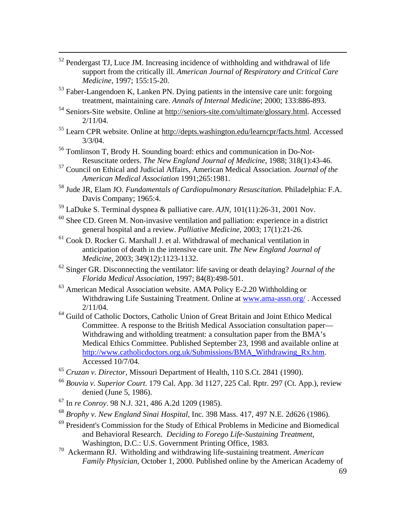- 52 Pendergast TJ, Luce JM. Increasing incidence of withholding and withdrawal of life support from the critically ill. *American Journal of Respiratory and Critical Care Medicine*, 1997; 155:15-20.
- 53 Faber-Langendoen K, Lanken PN. Dying patients in the intensive care unit: forgoing treatment, maintaining care. *Annals of Internal Medicine*; 2000; 133:886-893.
- 54 Seniors-Site website. Online at http://seniors-site.com/ultimate/glossary.html. Accessed 2/11/04.
- 55 Learn CPR website. Online at http://depts.washington.edu/learncpr/facts.html. Accessed  $3/3/04$ .
- 56 Tomlinson T, Brody H. Sounding board: ethics and communication in Do-Not-Resuscitate orders. *The New England Journal of Medicine*, 1988; 318(1):43-46.
- 57 Council on Ethical and Judicial Affairs, American Medical Association. *Journal of the American Medical Association* 1991;265:1981.
- 58 Jude JR, Elam JO. *Fundamentals of Cardiopulmonary Resuscitation.* Philadelphia: F.A. Davis Company; 1965:4.
- 59 LaDuke S. Terminal dyspnea & palliative care. *AJN,* 101(11):26-31, 2001 Nov.
- $60$  Shee CD. Green M. Non-invasive ventilation and palliation: experience in a district general hospital and a review. *Palliative Medicine*, 2003; 17(1):21-26.
- $61$  Cook D. Rocker G. Marshall J. et al. Withdrawal of mechanical ventilation in anticipation of death in the intensive care unit. *The New England Journal of Medicine*, 2003; 349(12):1123-1132.
- 62 Singer GR. Disconnecting the ventilator: life saving or death delaying? *Journal of the Florida Medical Association*, 1997; 84(8):498-501.
- 63 American Medical Association website. AMA Policy E-2.20 Withholding or Withdrawing Life Sustaining Treatment. Online at www.ama-assn.org/ . Accessed 2/11/04.
- 64 Guild of Catholic Doctors, Catholic Union of Great Britain and Joint Ethico Medical Committee. A response to the British Medical Association consultation paper— Withdrawing and witholding treatment: a consultation paper from the BMA's Medical Ethics Committee. Published September 23, 1998 and available online at http://www.catholicdoctors.org.uk/Submissions/BMA\_Withdrawing\_Rx.htm. Accessed 10/7/04.
- <sup>65</sup> *Cruzan v. Director*, Missouri Department of Health, 110 S.Ct. 2841 (1990).
- <sup>66</sup> *Bouvia v. Superior Court*. 179 Cal. App. 3d 1127, 225 Cal. Rptr. 297 (Ct. App.), review denied (June 5, 1986).
- 67 In *re Conroy*. 98 N.J. 321, 486 A.2d 1209 (1985).
- <sup>68</sup> *Brophy v. New England Sinai Hospital*, Inc. 398 Mass. 417, 497 N.E. 2d626 (1986).
- 69 President's Commission for the Study of Ethical Problems in Medicine and Biomedical and Behavioral Research. *Deciding to Forego Life-Sustaining Treatment,* Washington, D.C.: U.S. Government Printing Office, 1983.
- 70 Ackermann RJ. Witholding and withdrawing life-sustaining treatment. *American Family Physician*, October 1, 2000. Published online by the American Academy of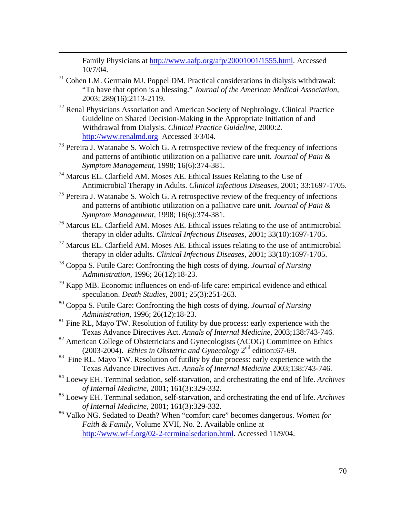Family Physicians at http://www.aafp.org/afp/20001001/1555.html. Accessed 10/7/04.

 $71$  Cohen LM. Germain MJ. Poppel DM. Practical considerations in dialysis withdrawal: "To have that option is a blessing." *Journal of the American Medical Association*, 2003; 289(16):2113-2119.

 $\overline{a}$ 

- $72$  Renal Physicians Association and American Society of Nephrology. Clinical Practice Guideline on Shared Decision-Making in the Appropriate Initiation of and Withdrawal from Dialysis. *Clinical Practice Guideline,* 2000:2. http://www.renalmd.org Accessed 3/3/04.
- 73 Pereira J. Watanabe S. Wolch G. A retrospective review of the frequency of infections and patterns of antibiotic utilization on a palliative care unit. *Journal of Pain & Symptom Management*, 1998; 16(6):374-381.
- 74 Marcus EL. Clarfield AM. Moses AE. Ethical Issues Relating to the Use of Antimicrobial Therapy in Adults. *Clinical Infectious Diseases*, 2001; 33:1697-1705.
- $75$  Pereira J. Watanabe S. Wolch G. A retrospective review of the frequency of infections and patterns of antibiotic utilization on a palliative care unit. *Journal of Pain & Symptom Management*, 1998; 16(6):374-381.
- 76 Marcus EL. Clarfield AM. Moses AE. Ethical issues relating to the use of antimicrobial therapy in older adults. *Clinical Infectious Diseases*, 2001; 33(10):1697-1705.
- 77 Marcus EL. Clarfield AM. Moses AE. Ethical issues relating to the use of antimicrobial therapy in older adults. *Clinical Infectious Diseases*, 2001; 33(10):1697-1705.
- 78 Coppa S. Futile Care: Confronting the high costs of dying. *Journal of Nursing* A*dministration*, 1996; 26(12):18-23.
- $79$  Kapp MB. Economic influences on end-of-life care: empirical evidence and ethical speculation. *Death Studies*, 2001; 25(3):251-263.
- 80 Coppa S. Futile Care: Confronting the high costs of dying. *Journal of Nursing Administration*, 1996; 26(12):18-23.
- <sup>81</sup> Fine RL, Mayo TW. Resolution of futility by due process: early experience with the Texas Advance Directives Act. *Annals of Internal Medicine,* 2003;138:743-746.
- <sup>82</sup> American College of Obstetricians and Gynecologists (ACOG) Committee on Ethics (2003-2004). *Ethics in Obstetric and Gynecology* 2nd edition:67-69.
- $83$  Fine RL. Mayo TW. Resolution of futility by due process: early experience with the Texas Advance Directives Act. *Annals of Internal Medicine* 2003;138:743-746.
- 84 Loewy EH. Terminal sedation, self-starvation, and orchestrating the end of life. *Archives of Internal Medicine*, 2001; 161(3):329-332.
- 85 Loewy EH. Terminal sedation, self-starvation, and orchestrating the end of life. *Archives of Internal Medicine*, 2001; 161(3):329-332.
- 86 Valko NG. Sedated to Death? When "comfort care" becomes dangerous. *Women for Faith & Family*, Volume XVII, No. 2. Available online at http://www.wf-f.org/02-2-terminalsedation.html. Accessed 11/9/04.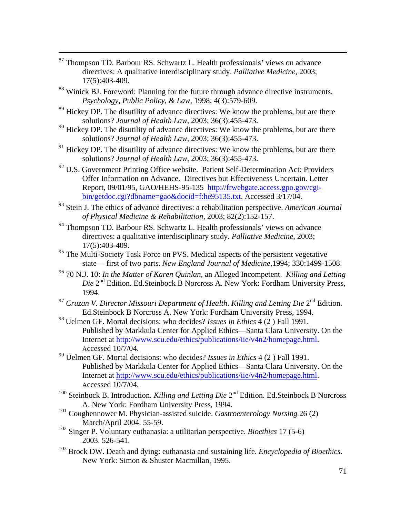- 87 Thompson TD. Barbour RS. Schwartz L. Health professionals' views on advance directives: A qualitative interdisciplinary study. *Palliative Medicine*, 2003; 17(5):403-409.
- <sup>88</sup> Winick BJ. Foreword: Planning for the future through advance directive instruments. *Psychology, Public Policy, & Law*, 1998; 4(3):579-609.
- <sup>89</sup> Hickey DP. The disutility of advance directives: We know the problems, but are there solutions? *Journal of Health Law,* 2003; 36(3):455-473.
- $90$  Hickey DP. The disutility of advance directives: We know the problems, but are there solutions? *Journal of Health Law*, 2003; 36(3):455-473.
- <sup>91</sup> Hickey DP. The disutility of advance directives: We know the problems, but are there solutions? *Journal of Health Law*, 2003; 36(3):455-473.
- <sup>92</sup> U.S. Government Printing Office website. Patient Self-Determination Act: Providers Offer Information on Advance. Directives but Effectiveness Uncertain. Letter Report, 09/01/95, GAO/HEHS-95-135 http://frwebgate.access.gpo.gov/cgibin/getdoc.cgi?dbname=gao&docid=f:he95135.txt. Accessed 3/17/04.
- 93 Stein J. The ethics of advance directives: a rehabilitation perspective. *American Journal of Physical Medicine & Rehabilitation*, 2003; 82(2):152-157.
- <sup>94</sup> Thompson TD. Barbour RS. Schwartz L. Health professionals' views on advance directives: a qualitative interdisciplinary study. *Palliative Medicine*, 2003; 17(5):403-409.
- <sup>95</sup> The Multi-Society Task Force on PVS. Medical aspects of the persistent vegetative state— first of two parts. *New England Journal of Medicine*,1994; 330:1499-1508.
- 96 70 N.J. 10: *In the Matter of Karen Quinlan*, an Alleged Incompetent. *Killing and Letting Die* 2nd Edition. Ed.Steinbock B Norcross A. New York: Fordham University Press, 1994.
- <sup>97</sup> *Cruzan V. Director Missouri Department of Health*. *Killing and Letting Die* 2nd Edition. Ed.Steinbock B Norcross A. New York: Fordham University Press, 1994.
- <sup>98</sup> Uelmen GF. Mortal decisions: who decides? *Issues in Ethics* 4 (2 ) Fall 1991. Published by Markkula Center for Applied Ethics—Santa Clara University. On the Internet at http://www.scu.edu/ethics/publications/iie/v4n2/homepage.html. Accessed 10/7/04.
- 99 Uelmen GF. Mortal decisions: who decides? *Issues in Ethics* 4 (2 ) Fall 1991. Published by Markkula Center for Applied Ethics—Santa Clara University. On the Internet at http://www.scu.edu/ethics/publications/iie/v4n2/homepage.html. Accessed 10/7/04.
- <sup>100</sup> Steinbock B. Introduction. *Killing and Letting Die* 2<sup>nd</sup> Edition. Ed. Steinbock B Norcross A. New York: Fordham University Press, 1994.
- 101 Coughennower M. Physician-assisted suicide. *Gastroenterology Nursing* 26 (2) March/April 2004. 55-59.
- 102 Singer P. Voluntary euthanasia: a utilitarian perspective. *Bioethics* 17 (5-6) 2003. 526-541.
- <sup>103</sup> Brock DW. Death and dying: euthanasia and sustaining life. *Encyclopedia of Bioethics.* New York: Simon & Shuster Macmillan, 1995.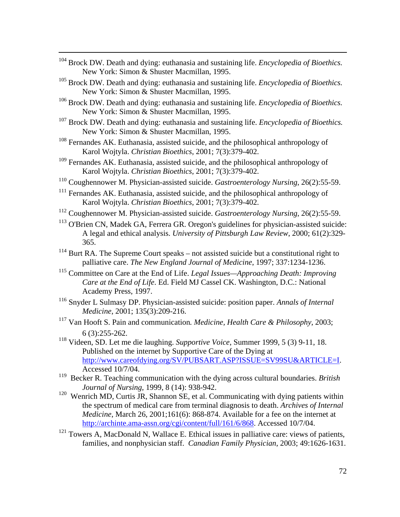- 104 Brock DW. Death and dying: euthanasia and sustaining life. *Encyclopedia of Bioethics.* New York: Simon & Shuster Macmillan, 1995.
- <sup>105</sup> Brock DW. Death and dying: euthanasia and sustaining life. *Encyclopedia of Bioethics.* New York: Simon & Shuster Macmillan, 1995.
- <sup>106</sup> Brock DW. Death and dying: euthanasia and sustaining life. *Encyclopedia of Bioethics.* New York: Simon & Shuster Macmillan, 1995.
- 107 Brock DW. Death and dying: euthanasia and sustaining life. *Encyclopedia of Bioethics.* New York: Simon & Shuster Macmillan, 1995.
- <sup>108</sup> Fernandes AK. Euthanasia, assisted suicide, and the philosophical anthropology of Karol Wojtyla. *Christian Bioethics*, 2001; 7(3):379-402.
- <sup>109</sup> Fernandes AK. Euthanasia, assisted suicide, and the philosophical anthropology of Karol Wojtyla. *Christian Bioethics*, 2001; 7(3):379-402.
- 110 Coughennower M. Physician-assisted suicide. *Gastroenterology Nursing*, 26(2):55-59.
- <sup>111</sup> Fernandes AK. Euthanasia, assisted suicide, and the philosophical anthropology of Karol Wojtyla. *Christian Bioethics*, 2001; 7(3):379-402.
- 112 Coughennower M. Physician-assisted suicide. *Gastroenterology Nursing*, 26(2):55-59.
- <sup>113</sup> O'Brien CN, Madek GA, Ferrera GR. Oregon's guidelines for physician-assisted suicide: A legal and ethical analysis. *University of Pittsburgh Law Review*, 2000; 61(2):329- 365.
- $114$  Burt RA. The Supreme Court speaks not assisted suicide but a constitutional right to palliative care. *The New England Journal of Medicine*, 1997; 337:1234-1236.
- 115 Committee on Care at the End of Life. *Legal Issues—Approaching Death: Improving Care at the End of Life*. Ed. Field MJ Cassel CK. Washington, D.C.: National Academy Press, 1997.
- 116 Snyder L Sulmasy DP. Physician-assisted suicide: position paper. *Annals of Internal Medicine*, 2001; 135(3):209-216.
- 117 Van Hooft S. Pain and communication*. Medicine, Health Care & Philosophy*, 2003; 6 (3):255-262.
- 118 Videen, SD. Let me die laughing. *Supportive Voice*, Summer 1999, 5 (3) 9-11, 18. Published on the internet by Supportive Care of the Dying at http://www.careofdying.org/SV/PUBSART.ASP?ISSUE=SV99SU&ARTICLE=I. Accessed 10/7/04.
- 119 Becker R. Teaching communication with the dying across cultural boundaries. *British Journal of Nursing*, 1999, 8 (14): 938-942.
- $120$  Wenrich MD, Curtis JR, Shannon SE, et al. Communicating with dying patients within the spectrum of medical care from terminal diagnosis to death. *Archives of Internal Medicine*, March 26, 2001;161(6): 868-874. Available for a fee on the internet at http://archinte.ama-assn.org/cgi/content/full/161/6/868. Accessed 10/7/04.
- $121$  Towers A, MacDonald N, Wallace E. Ethical issues in palliative care: views of patients, families, and nonphysician staff. *Canadian Family Physician*, 2003; 49:1626-1631.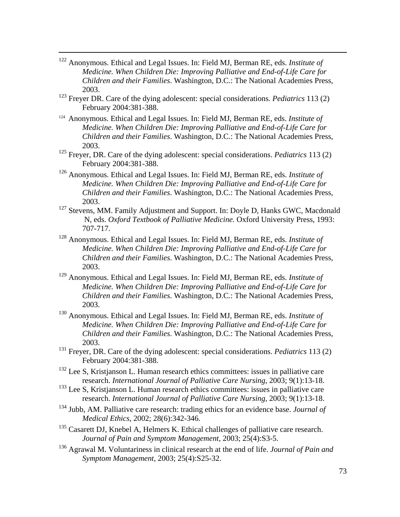- 122 Anonymous. Ethical and Legal Issues. In: Field MJ, Berman RE, eds. *Institute of Medicine. When Children Die: Improving Palliative and End-of-Life Care for Children and their Families*. Washington, D.C.: The National Academies Press, 2003.
- 123 Freyer DR. Care of the dying adolescent: special considerations. *Pediatrics* 113 (2) February 2004:381-388.
- 124 Anonymous. Ethical and Legal Issues. In: Field MJ, Berman RE, eds. *Institute of Medicine. When Children Die: Improving Palliative and End-of-Life Care for Children and their Families*. Washington, D.C.: The National Academies Press, 2003.
- 125 Freyer, DR. Care of the dying adolescent: special considerations. *Pediatrics* 113 (2) February 2004:381-388.
- 126 Anonymous. Ethical and Legal Issues. In: Field MJ, Berman RE, eds. *Institute of Medicine. When Children Die: Improving Palliative and End-of-Life Care for Children and their Families*. Washington, D.C.: The National Academies Press, 2003.
- <sup>127</sup> Stevens, MM. Family Adjustment and Support. In: Doyle D, Hanks GWC, Macdonald N, eds. *Oxford Textbook of Palliative Medicine.* Oxford University Press, 1993: 707-717.
- 128 Anonymous. Ethical and Legal Issues. In: Field MJ, Berman RE, eds. *Institute of Medicine. When Children Die: Improving Palliative and End-of-Life Care for Children and their Families*. Washington, D.C.: The National Academies Press, 2003.
- 129 Anonymous. Ethical and Legal Issues. In: Field MJ, Berman RE, eds. *Institute of Medicine. When Children Die: Improving Palliative and End-of-Life Care for Children and their Families*. Washington, D.C.: The National Academies Press, 2003.
- 130 Anonymous. Ethical and Legal Issues. In: Field MJ, Berman RE, eds. *Institute of Medicine. When Children Die: Improving Palliative and End-of-Life Care for Children and their Families*. Washington, D.C.: The National Academies Press, 2003.
- 131 Freyer, DR. Care of the dying adolescent: special considerations. *Pediatrics* 113 (2) February 2004:381-388.
- <sup>132</sup> Lee S, Kristjanson L. Human research ethics committees: issues in palliative care research. *International Journal of Palliative Care Nursing*, 2003; 9(1):13-18.
- <sup>133</sup> Lee S, Kristjanson L. Human research ethics committees: issues in palliative care research. *International Journal of Palliative Care Nursing*, 2003; 9(1):13-18.
- 134 Jubb, AM. Palliative care research: trading ethics for an evidence base. *Journal of Medical Ethics*, 2002; 28(6):342-346.
- <sup>135</sup> Casarett DJ, Knebel A, Helmers K. Ethical challenges of palliative care research. *Journal of Pain and Symptom Management*, 2003; 25(4):S3-5.
- 136 Agrawal M. Voluntariness in clinical research at the end of life. *Journal of Pain and Symptom Management*, 2003; 25(4):S25-32.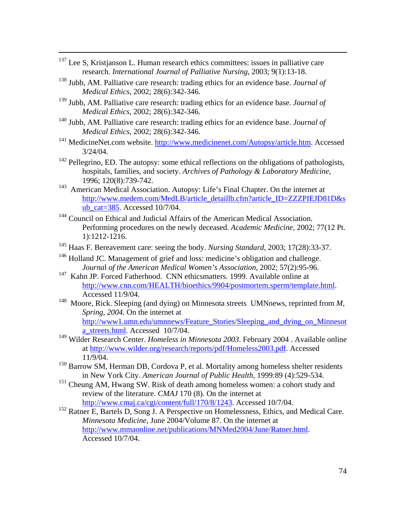- <sup>137</sup> Lee S, Kristjanson L. Human research ethics committees: issues in palliative care research. *International Journal of Palliative Nursing*, 2003; 9(1):13-18.
- 138 Jubb, AM. Palliative care research: trading ethics for an evidence base. *Journal of Medical Ethics*, 2002; 28(6):342-346.
- 139 Jubb, AM. Palliative care research: trading ethics for an evidence base. *Journal of Medical Ethics*, 2002; 28(6):342-346.
- 140 Jubb, AM. Palliative care research: trading ethics for an evidence base. *Journal of Medical Ethics*, 2002; 28(6):342-346.
- $141$  MedicineNet.com website. http://www.medicinenet.com/Autopsy/article.htm. Accessed 3/24/04.
- <sup>142</sup> Pellegrino, ED. The autopsy: some ethical reflections on the obligations of pathologists, hospitals, families, and society. *Archives of Pathology & Laboratory Medicine*, 1996; 120(8):739-742.
- <sup>143</sup> American Medical Association. Autopsy: Life's Final Chapter. On the internet at http://www.medem.com/MedLB/article\_detaillb.cfm?article\_ID=ZZZPIEJD81D&s ub\_cat=385. Accessed 10/7/04.
- <sup>144</sup> Council on Ethical and Judicial Affairs of the American Medical Association. Performing procedures on the newly deceased. *Academic Medicine*, 2002; 77(12 Pt. 1):1212-1216.
- 145 Haas F. Bereavement care: seeing the body. *Nursing Standard,* 2003; 17(28):33-37.
- <sup>146</sup> Holland JC. Management of grief and loss: medicine's obligation and challenge. *Journa*l *of the American Medical Women's Association*, 2002; 57(2):95-96.
- <sup>147</sup> Kahn JP. Forced Fatherhood. CNN ethicsmatters. 1999. Available online at http://www.cnn.com/HEALTH/bioethics/9904/postmortem.sperm/template.html. Accessed 11/9/04.
- 148 Moore, Rick. Sleeping (and dying) on Minnesota streets UMNnews, reprinted from *M, Spring, 2004.* On the internet at http://www1.umn.edu/umnnews/Feature\_Stories/Sleeping\_and\_dying\_on\_Minnesot a\_streets.html. Accessed 10/7/04.
- <sup>149</sup> Wilder Research Center. *Homeless in Minnesota 2003*. February 2004 . Available online at http://www.wilder.org/research/reports/pdf/Homeless2003.pdf. Accessed 11/9/04.
- <sup>150</sup> Barrow SM, Herman DB, Cordova P, et al. Mortality among homeless shelter residents in New York City. *American Journal of Public Health,* 1999:89 (4):529-534.
- <sup>151</sup> Cheung AM, Hwang SW. Risk of death among homeless women: a cohort study and review of the literature. *CMAJ* 170 (8). On the internet at http://www.cmaj.ca/cgi/content/full/170/8/1243. Accessed 10/7/04.
- <sup>152</sup> Ratner E, Bartels D, Song J. A Perspective on Homelessness, Ethics, and Medical Care. *Minnesota Medicine*, June 2004/Volume 87. On the internet at http://www.mmaonline.net/publications/MNMed2004/June/Ratner.html. Accessed 10/7/04.